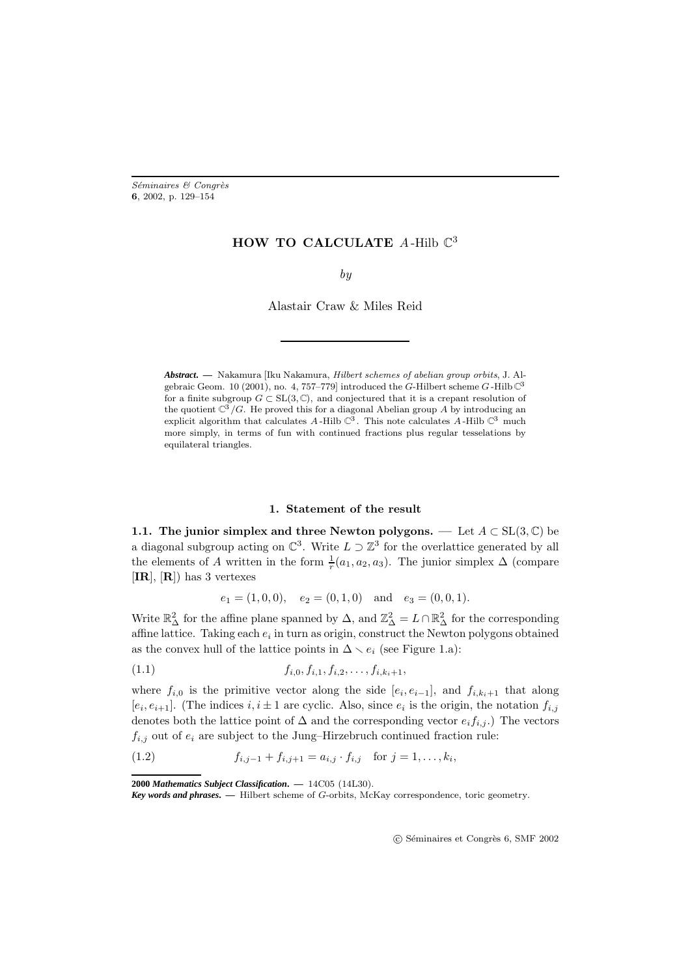Séminaires & Congrès **6**, 2002, p. 129–154

## **HOW TO CALCULATE** A-Hilb  $\mathbb{C}^3$

### by

Alastair Craw & Miles Reid

*Abstract***. —** Nakamura [Iku Nakamura, Hilbert schemes of abelian group orbits, J. Algebraic Geom. 10 (2001), no. 4, 757-779] introduced the G-Hilbert scheme G-Hilb  $\mathbb{C}^3$ for a finite subgroup  $G \subset SL(3, \mathbb{C})$ , and conjectured that it is a crepant resolution of the quotient  $\mathbb{C}^3/G$ . He proved this for a diagonal Abelian group A by introducing an explicit algorithm that calculates A-Hilb  $\check{\mathcal{C}}$ . This note calculates A-Hilb  $\check{\mathcal{C}}$  much more simply, in terms of fun with continued fractions plus regular tesselations by equilateral triangles.

### **1. Statement of the result**

**1.1.** The junior simplex and three Newton polygons. — Let  $A \subset SL(3,\mathbb{C})$  be a diagonal subgroup acting on  $\mathbb{C}^3$ . Write  $L \supset \mathbb{Z}^3$  for the overlattice generated by all the elements of A written in the form  $\frac{1}{r}(a_1, a_2, a_3)$ . The junior simplex  $\Delta$  (compare [**IR**], [**R**]) has 3 vertexes

$$
e_1 = (1,0,0), \quad e_2 = (0,1,0) \quad \text{and} \quad e_3 = (0,0,1).
$$

Write  $\mathbb{R}^2_\Delta$  for the affine plane spanned by  $\Delta$ , and  $\mathbb{Z}^2_\Delta = L \cap \mathbb{R}^2_\Delta$  for the corresponding affine lattice. Taking each  $e_i$  in turn as origin, construct the Newton polygons obtained as the convex hull of the lattice points in  $\Delta \setminus e_i$  (see Figure 1.a):

$$
(1.1) \t\t f_{i,0}, f_{i,1}, f_{i,2}, \ldots, f_{i,k_i+1},
$$

where  $f_{i,0}$  is the primitive vector along the side  $[e_i, e_{i-1}]$ , and  $f_{i,k_i+1}$  that along  $[e_i, e_{i+1}]$ . (The indices  $i, i \pm 1$  are cyclic. Also, since  $e_i$  is the origin, the notation  $f_{i,j}$ denotes both the lattice point of  $\Delta$  and the corresponding vector  $e_i f_{i,j}$ .) The vectors  $f_{i,j}$  out of  $e_i$  are subject to the Jung–Hirzebruch continued fraction rule:

(1.2) 
$$
f_{i,j-1} + f_{i,j+1} = a_{i,j} \cdot f_{i,j} \text{ for } j = 1, ..., k_i,
$$

**2000** *Mathematics Subject Classification***. —** 14C05 (14L30).

C Séminaires et Congrès 6, SMF 2002

*Key words and phrases***. —** Hilbert scheme of G-orbits, McKay correspondence, toric geometry.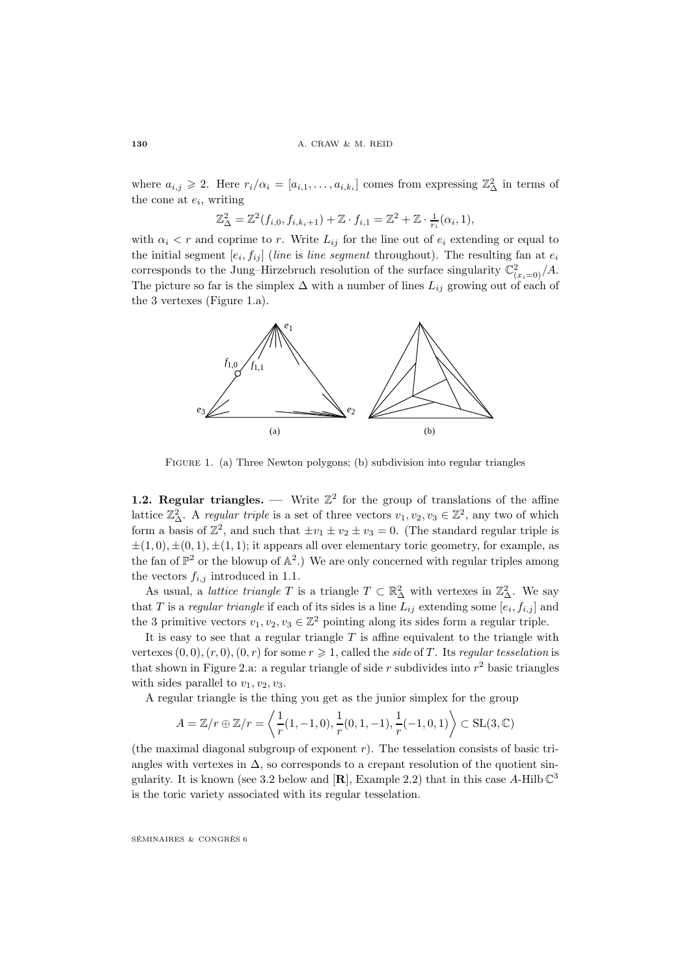where  $a_{i,j} \geqslant 2$ . Here  $r_i/\alpha_i = [a_{i,1}, \ldots, a_{i,k_i}]$  comes from expressing  $\mathbb{Z}_{\Delta}^2$  in terms of the cone at  $e_i$ , writing

$$
\mathbb{Z}_{\Delta}^2 = \mathbb{Z}^2(f_{i,0}, f_{i,k_i+1}) + \mathbb{Z} \cdot f_{i,1} = \mathbb{Z}^2 + \mathbb{Z} \cdot \frac{1}{r_i}(\alpha_i, 1),
$$

with  $\alpha_i < r$  and coprime to r. Write  $L_{ij}$  for the line out of  $e_i$  extending or equal to the initial segment  $[e_i, f_{ij}]$  (line is line segment throughout). The resulting fan at  $e_i$ corresponds to the Jung–Hirzebruch resolution of the surface singularity  $\mathbb{C}^2_{(x_i=0)}/A$ . The picture so far is the simplex  $\Delta$  with a number of lines  $L_{ij}$  growing out of each of the 3 vertexes (Figure 1.a).



FIGURE 1. (a) Three Newton polygons; (b) subdivision into regular triangles

**1.2. Regular triangles. —** Write  $\mathbb{Z}^2$  for the group of translations of the affine lattice  $\mathbb{Z}_{\Delta}^2$ . A *regular triple* is a set of three vectors  $v_1, v_2, v_3 \in \mathbb{Z}^2$ , any two of which form a basis of  $\mathbb{Z}^2$ , and such that  $\pm v_1 \pm v_2 \pm v_3 = 0$ . (The standard regular triple is  $\pm(1,0), \pm(0,1), \pm(1,1)$ ; it appears all over elementary toric geometry, for example, as the fan of  $\mathbb{P}^2$  or the blowup of  $\mathbb{A}^2$ .) We are only concerned with regular triples among the vectors  $f_{i,j}$  introduced in 1.1.

As usual, a *lattice triangle*  $T$  is a triangle  $T \subset \mathbb{R}^2_\Delta$  with vertexes in  $\mathbb{Z}^2_\Delta$ . We say that T is a regular triangle if each of its sides is a line  $L_{ij}$  extending some  $[e_i, f_{i,j}]$  and the 3 primitive vectors  $v_1, v_2, v_3 \in \mathbb{Z}^2$  pointing along its sides form a regular triple.

It is easy to see that a regular triangle  $T$  is affine equivalent to the triangle with vertexes  $(0, 0), (r, 0), (0, r)$  for some  $r \geq 1$ , called the side of T. Its regular tesselation is that shown in Figure 2.a: a regular triangle of side r subdivides into  $r^2$  basic triangles with sides parallel to  $v_1, v_2, v_3$ .

A regular triangle is the thing you get as the junior simplex for the group

$$
A = \mathbb{Z}/r \oplus \mathbb{Z}/r = \left\langle \frac{1}{r}(1, -1, 0), \frac{1}{r}(0, 1, -1), \frac{1}{r}(-1, 0, 1) \right\rangle \subset SL(3, \mathbb{C})
$$

(the maximal diagonal subgroup of exponent  $r$ ). The tesselation consists of basic triangles with vertexes in  $\Delta$ , so corresponds to a crepant resolution of the quotient singularity. It is known (see 3.2 below and  $[\mathbf{R}]$ , Example 2.2) that in this case A-Hilb  $\mathbb{C}^3$ is the toric variety associated with its regular tesselation.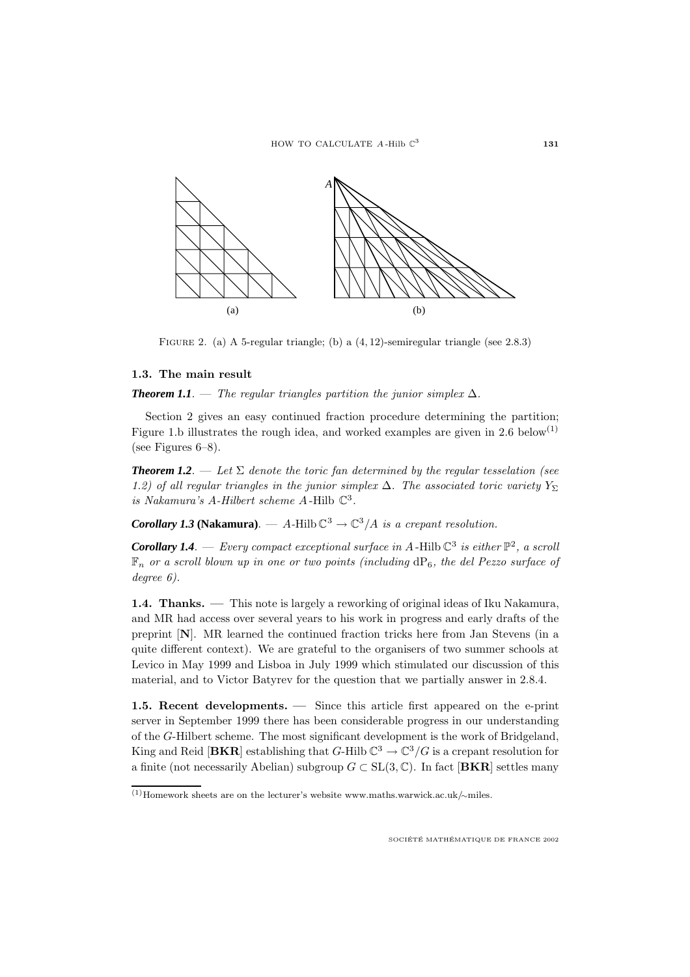

FIGURE 2. (a) A 5-regular triangle; (b) a  $(4, 12)$ -semiregular triangle (see 2.8.3)

## **1.3. The main result**

**Theorem 1.1**. — The regular triangles partition the junior simplex  $\Delta$ .

Section 2 gives an easy continued fraction procedure determining the partition; Figure 1.b illustrates the rough idea, and worked examples are given in 2.6 below<sup>(1)</sup> (see Figures 6–8).

**Theorem 1.2.** — Let  $\Sigma$  denote the toric fan determined by the regular tesselation (see 1.2) of all regular triangles in the junior simplex  $\Delta$ . The associated toric variety  $Y_{\Sigma}$ is Nakamura's A-Hilbert scheme A-Hilb  $\mathbb{C}^3$ .

*Corollary 1.3* **(Nakamura)**. — A-Hilb  $\mathbb{C}^3 \to \mathbb{C}^3/A$  is a crepant resolution.

**Corollary 1.4.** — Every compact exceptional surface in A-Hilb  $\mathbb{C}^3$  is either  $\mathbb{P}^2$ , a scroll  $\mathbb{F}_n$  or a scroll blown up in one or two points (including  $dP_6$ , the del Pezzo surface of degree 6).

**1.4. Thanks. —** This note is largely a reworking of original ideas of Iku Nakamura, and MR had access over several years to his work in progress and early drafts of the preprint [**N**]. MR learned the continued fraction tricks here from Jan Stevens (in a quite different context). We are grateful to the organisers of two summer schools at Levico in May 1999 and Lisboa in July 1999 which stimulated our discussion of this material, and to Victor Batyrev for the question that we partially answer in 2.8.4.

**1.5. Recent developments. —** Since this article first appeared on the e-print server in September 1999 there has been considerable progress in our understanding of the G-Hilbert scheme. The most significant development is the work of Bridgeland, King and Reid [**BKR**] establishing that  $G$ -Hilb  $\mathbb{C}^3 \to \mathbb{C}^3/G$  is a crepant resolution for a finite (not necessarily Abelian) subgroup  $G \subset SL(3,\mathbb{C})$ . In fact [**BKR**] settles many

<sup>(1)</sup>Homework sheets are on the lecturer's website www.maths.warwick.ac.uk/∼miles.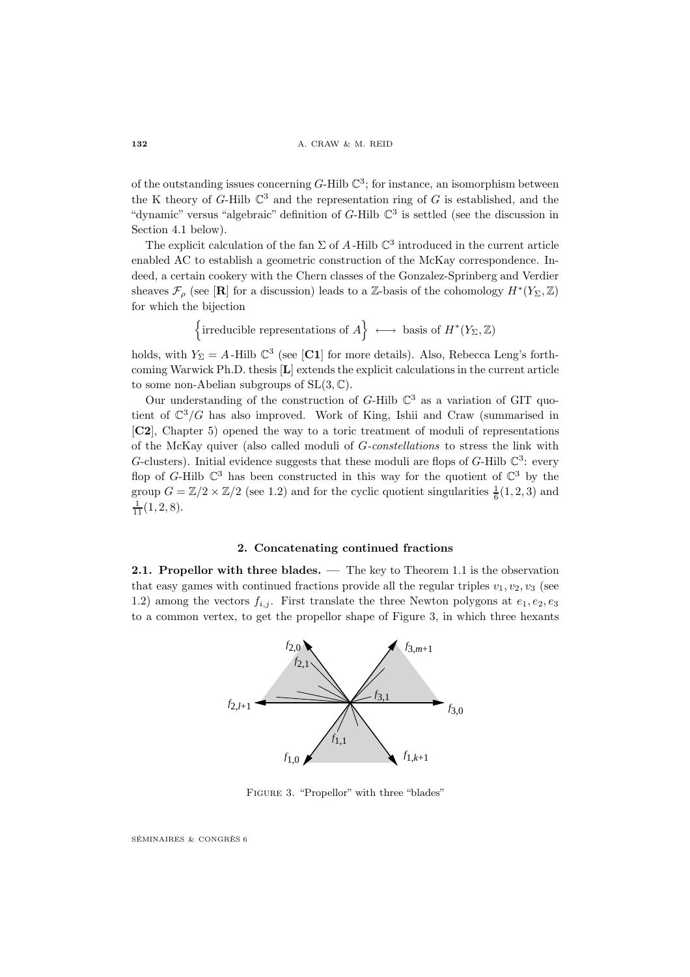of the outstanding issues concerning  $G$ -Hilb  $\mathbb{C}^3$ ; for instance, an isomorphism between the K theory of G-Hilb  $\mathbb{C}^3$  and the representation ring of G is established, and the "dynamic" versus "algebraic" definition of  $G$ -Hilb  $\mathbb{C}^3$  is settled (see the discussion in Section 4.1 below).

The explicit calculation of the fan  $\Sigma$  of A-Hilb  $\mathbb{C}^3$  introduced in the current article enabled AC to establish a geometric construction of the McKay correspondence. Indeed, a certain cookery with the Chern classes of the Gonzalez-Sprinberg and Verdier sheaves  $\mathcal{F}_{\rho}$  (see [**R**] for a discussion) leads to a Z-basis of the cohomology  $H^*(Y_{\Sigma}, \mathbb{Z})$ for which the bijection

{irreducible representations of 
$$
A
$$
}  $\longleftrightarrow$  basis of  $H^*(Y_{\Sigma}, \mathbb{Z})$ 

holds, with  $Y_{\Sigma} = A$ -Hilb  $\mathbb{C}^3$  (see [C1] for more details). Also, Rebecca Leng's forthcoming Warwick Ph.D. thesis [**L**] extends the explicit calculations in the current article to some non-Abelian subgroups of  $SL(3, \mathbb{C})$ .

Our understanding of the construction of  $G$ -Hilb  $\mathbb{C}^3$  as a variation of GIT quotient of  $\mathbb{C}^3/G$  has also improved. Work of King, Ishii and Craw (summarised in [**C2**], Chapter 5) opened the way to a toric treatment of moduli of representations of the McKay quiver (also called moduli of G-constellations to stress the link with G-clusters). Initial evidence suggests that these moduli are flops of G-Hilb  $\mathbb{C}^3$ : every flop of G-Hilb  $\mathbb{C}^3$  has been constructed in this way for the quotient of  $\mathbb{C}^3$  by the group  $G = \mathbb{Z}/2 \times \mathbb{Z}/2$  (see 1.2) and for the cyclic quotient singularities  $\frac{1}{6}(1, 2, 3)$  and  $\frac{1}{11}(1,2,8).$ 

### **2. Concatenating continued fractions**

**2.1. Propellor with three blades. —** The key to Theorem 1.1 is the observation that easy games with continued fractions provide all the regular triples  $v_1, v_2, v_3$  (see 1.2) among the vectors  $f_{i,j}$ . First translate the three Newton polygons at  $e_1, e_2, e_3$ to a common vertex, to get the propellor shape of Figure 3, in which three hexants



FIGURE 3. "Propellor" with three "blades"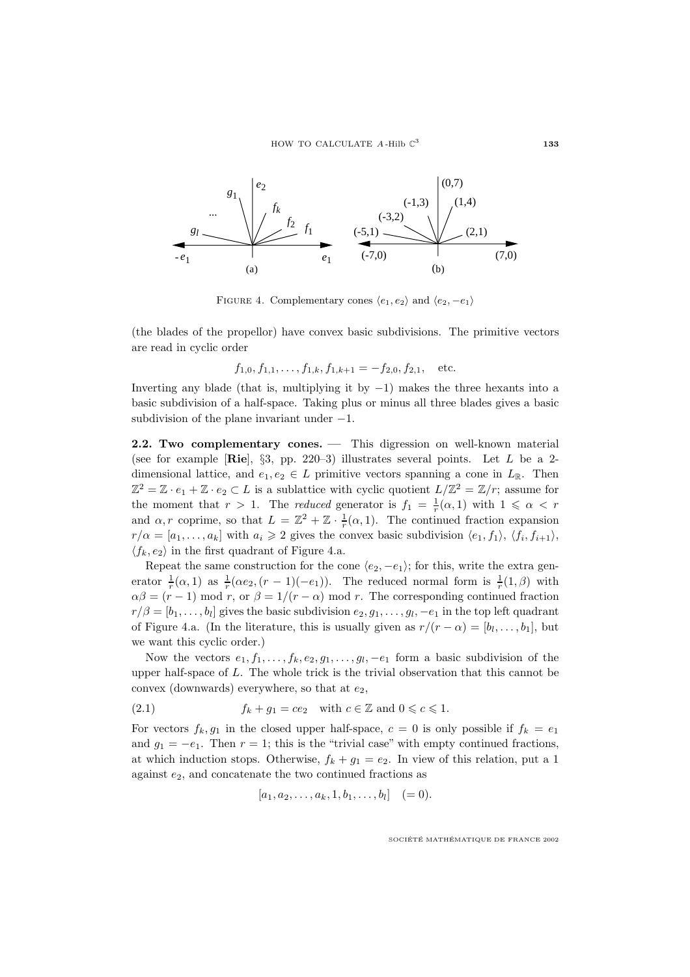

FIGURE 4. Complementary cones  $\langle e_1, e_2 \rangle$  and  $\langle e_2, -e_1 \rangle$ 

(the blades of the propellor) have convex basic subdivisions. The primitive vectors are read in cyclic order

$$
f_{1,0}, f_{1,1}, \ldots, f_{1,k}, f_{1,k+1} = -f_{2,0}, f_{2,1},
$$
 etc.

Inverting any blade (that is, multiplying it by  $-1$ ) makes the three hexants into a basic subdivision of a half-space. Taking plus or minus all three blades gives a basic subdivision of the plane invariant under  $-1$ .

**2.2. Two complementary cones. — This digression on well-known material** (see for example [**Rie**], §3, pp. 220–3) illustrates several points. Let L be a 2 dimensional lattice, and  $e_1, e_2 \in L$  primitive vectors spanning a cone in  $L_{\mathbb{R}}$ . Then  $\mathbb{Z}^2 = \mathbb{Z} \cdot e_1 + \mathbb{Z} \cdot e_2 \subset L$  is a sublattice with cyclic quotient  $L/\mathbb{Z}^2 = \mathbb{Z}/r$ ; assume for the moment that  $r > 1$ . The *reduced* generator is  $f_1 = \frac{1}{r}(\alpha, 1)$  with  $1 \leq \alpha < r$ and  $\alpha, r$  coprime, so that  $L = \mathbb{Z}^2 + \mathbb{Z} \cdot \frac{1}{r}(\alpha, 1)$ . The continued fraction expansion  $r/\alpha = [a_1,\ldots,a_k]$  with  $a_i \geq 2$  gives the convex basic subdivision  $\langle e_1, f_1 \rangle$ ,  $\langle f_i, f_{i+1} \rangle$ ,  $\langle f_k, e_2 \rangle$  in the first quadrant of Figure 4.a.

Repeat the same construction for the cone  $\langle e_2, -e_1 \rangle$ ; for this, write the extra generator  $\frac{1}{r}(\alpha, 1)$  as  $\frac{1}{r}(\alpha e_2, (r-1)(-e_1))$ . The reduced normal form is  $\frac{1}{r}(1, \beta)$  with  $\alpha\beta = (r-1) \mod r$ , or  $\beta = 1/(r-\alpha) \mod r$ . The corresponding continued fraction  $r/\beta = [b_1,\ldots,b_l]$  gives the basic subdivision  $e_2, g_1,\ldots,g_l,-e_1$  in the top left quadrant of Figure 4.a. (In the literature, this is usually given as  $r/(r - \alpha) = [b_1, \ldots, b_1]$ , but we want this cyclic order.)

Now the vectors  $e_1, f_1, \ldots, f_k, e_2, g_1, \ldots, g_l, -e_1$  form a basic subdivision of the upper half-space of L. The whole trick is the trivial observation that this cannot be convex (downwards) everywhere, so that at  $e_2$ ,

(2.1) 
$$
f_k + g_1 = ce_2 \quad \text{with } c \in \mathbb{Z} \text{ and } 0 \leqslant c \leqslant 1.
$$

For vectors  $f_k, g_1$  in the closed upper half-space,  $c = 0$  is only possible if  $f_k = e_1$ and  $g_1 = -e_1$ . Then  $r = 1$ ; this is the "trivial case" with empty continued fractions, at which induction stops. Otherwise,  $f_k + g_1 = e_2$ . In view of this relation, put a 1 against  $e_2$ , and concatenate the two continued fractions as

$$
[a_1, a_2, \ldots, a_k, 1, b_1, \ldots, b_l] \quad (= 0).
$$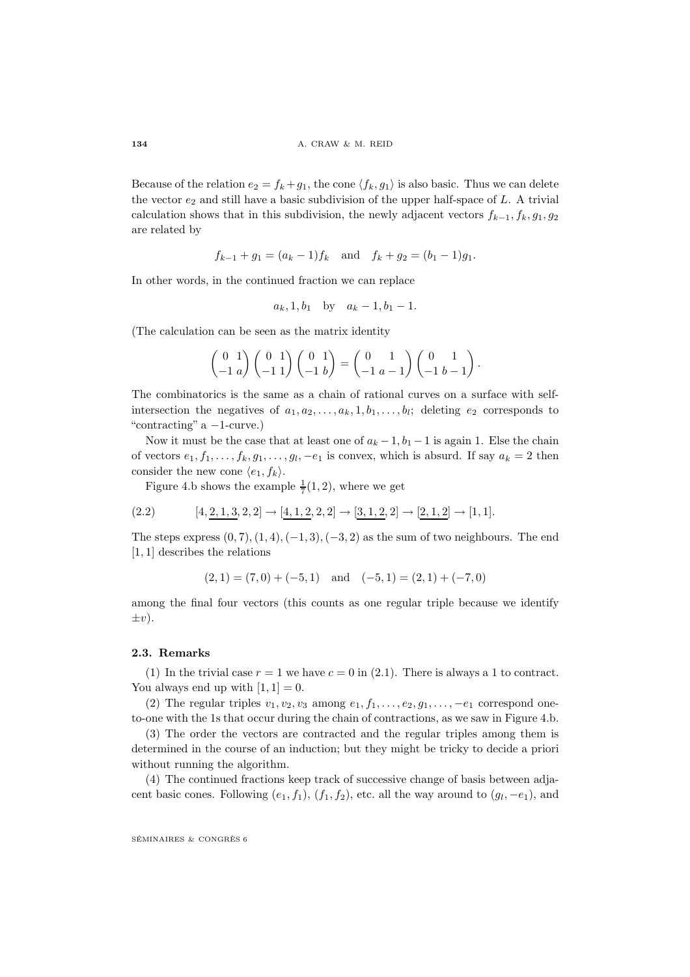Because of the relation  $e_2 = f_k + g_1$ , the cone  $\langle f_k, g_1 \rangle$  is also basic. Thus we can delete the vector  $e_2$  and still have a basic subdivision of the upper half-space of L. A trivial calculation shows that in this subdivision, the newly adjacent vectors  $f_{k-1}, f_k, g_1, g_2$ are related by

 $f_{k-1} + g_1 = (a_k - 1)f_k$  and  $f_k + g_2 = (b_1 - 1)g_1$ .

In other words, in the continued fraction we can replace

$$
a_k, 1, b_1
$$
 by  $a_k - 1, b_1 - 1$ .

(The calculation can be seen as the matrix identity

$$
\begin{pmatrix} 0 & 1 \ -1 & a \end{pmatrix} \begin{pmatrix} 0 & 1 \ -1 & 1 \end{pmatrix} \begin{pmatrix} 0 & 1 \ -1 & b \end{pmatrix} = \begin{pmatrix} 0 & 1 \ -1 & a-1 \end{pmatrix} \begin{pmatrix} 0 & 1 \ -1 & b-1 \end{pmatrix}.
$$

The combinatorics is the same as a chain of rational curves on a surface with selfintersection the negatives of  $a_1, a_2, \ldots, a_k, 1, b_1, \ldots, b_l$ ; deleting  $e_2$  corresponds to "contracting"  $a -1$ -curve.)

Now it must be the case that at least one of  $a_k - 1$ ,  $b_1 - 1$  is again 1. Else the chain of vectors  $e_1, f_1, \ldots, f_k, g_1, \ldots, g_l, -e_1$  is convex, which is absurd. If say  $a_k = 2$  then consider the new cone  $\langle e_1, f_k \rangle$ .

Figure 4.b shows the example  $\frac{1}{7}(1,2)$ , where we get

$$
(2.2) \qquad [4, \underline{2, 1, 3}, 2, 2] \rightarrow [\underline{4, 1, 2}, 2, 2] \rightarrow [\underline{3, 1, 2}, 2] \rightarrow [\underline{2, 1, 2}] \rightarrow [1, 1].
$$

The steps express  $(0, 7), (1, 4), (-1, 3), (-3, 2)$  as the sum of two neighbours. The end [1, 1] describes the relations

$$
(2, 1) = (7, 0) + (-5, 1)
$$
 and  $(-5, 1) = (2, 1) + (-7, 0)$ 

among the final four vectors (this counts as one regular triple because we identify  $\pm v$ ).

### **2.3. Remarks**

(1) In the trivial case  $r = 1$  we have  $c = 0$  in (2.1). There is always a 1 to contract. You always end up with  $[1, 1] = 0$ .

(2) The regular triples  $v_1, v_2, v_3$  among  $e_1, f_1, \ldots, e_2, g_1, \ldots, -e_1$  correspond oneto-one with the 1s that occur during the chain of contractions, as we saw in Figure 4.b.

(3) The order the vectors are contracted and the regular triples among them is determined in the course of an induction; but they might be tricky to decide a priori without running the algorithm.

(4) The continued fractions keep track of successive change of basis between adjacent basic cones. Following  $(e_1, f_1), (f_1, f_2)$ , etc. all the way around to  $(g_1, -e_1)$ , and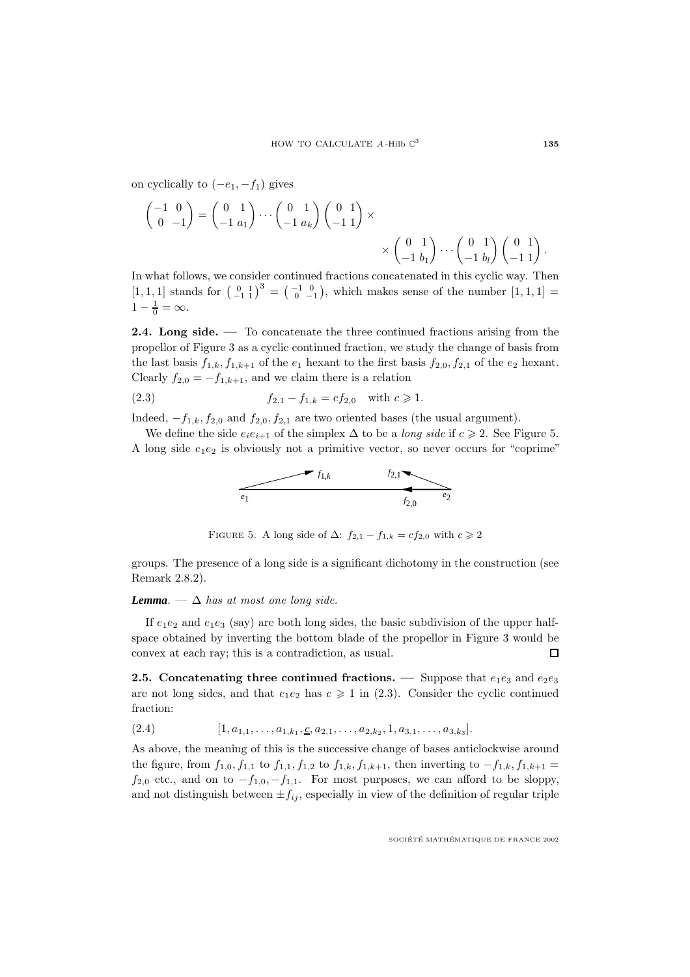on cyclically to  $(-e_1, -f_1)$  gives

$$
\begin{pmatrix} -1 & 0 \ 0 & -1 \end{pmatrix} = \begin{pmatrix} 0 & 1 \ -1 & a_1 \end{pmatrix} \cdots \begin{pmatrix} 0 & 1 \ -1 & a_k \end{pmatrix} \begin{pmatrix} 0 & 1 \ -1 & 1 \end{pmatrix} \times \times \begin{pmatrix} 0 & 1 \ -1 & b_1 \end{pmatrix} \cdots \begin{pmatrix} 0 & 1 \ -1 & b_l \end{pmatrix} \begin{pmatrix} 0 & 1 \ -1 & 1 \end{pmatrix}.
$$

In what follows, we consider continued fractions concatenated in this cyclic way. Then  $[1, 1, 1]$  stands for  $\begin{pmatrix} 0 & 1 \\ -1 & 1 \end{pmatrix}^3 = \begin{pmatrix} -1 & 0 \\ 0 & -1 \end{pmatrix}$ , which makes sense of the number  $[1, 1, 1] =$  $1-\frac{1}{0}=\infty.$ 

**2.4.** Long side. — To concatenate the three continued fractions arising from the propellor of Figure 3 as a cyclic continued fraction, we study the change of basis from the last basis  $f_{1,k}$ ,  $f_{1,k+1}$  of the  $e_1$  hexant to the first basis  $f_{2,0}$ ,  $f_{2,1}$  of the  $e_2$  hexant. Clearly  $f_{2,0} = -f_{1,k+1}$ , and we claim there is a relation

(2.3) 
$$
f_{2,1} - f_{1,k} = cf_{2,0} \text{ with } c \geq 1.
$$

Indeed,  $-f_{1,k}, f_{2,0}$  and  $f_{2,0}, f_{2,1}$  are two oriented bases (the usual argument).

We define the side  $e_i e_{i+1}$  of the simplex  $\Delta$  to be a long side if  $c \geq 2$ . See Figure 5. A long side  $e_1e_2$  is obviously not a primitive vector, so never occurs for "coprime"



FIGURE 5. A long side of  $\Delta$ :  $f_{2,1} - f_{1,k} = cf_{2,0}$  with  $c \ge 2$ 

groups. The presence of a long side is a significant dichotomy in the construction (see Remark 2.8.2).

**Lemma**. —  $\Delta$  has at most one long side.

If  $e_1e_2$  and  $e_1e_3$  (say) are both long sides, the basic subdivision of the upper halfspace obtained by inverting the bottom blade of the propellor in Figure 3 would be convex at each ray; this is a contradiction, as usual.  $\Box$ 

**2.5. Concatenating three continued fractions. —** Suppose that  $e_1e_3$  and  $e_2e_3$ are not long sides, and that  $e_1e_2$  has  $c \ge 1$  in (2.3). Consider the cyclic continued fraction:

 $[1, a_{1,1}, \ldots, a_{1,k_1}, \underline{c}, a_{2,1}, \ldots, a_{2,k_2}, 1, a_{3,1}, \ldots, a_{3,k_3}].$ 

As above, the meaning of this is the successive change of bases anticlockwise around the figure, from  $f_{1,0}, f_{1,1}$  to  $f_{1,1}, f_{1,2}$  to  $f_{1,k}, f_{1,k+1}$ , then inverting to  $-f_{1,k}, f_{1,k+1}$  $f_{2,0}$  etc., and on to  $-f_{1,0}, -f_{1,1}$ . For most purposes, we can afford to be sloppy, and not distinguish between  $\pm f_{ij}$ , especially in view of the definition of regular triple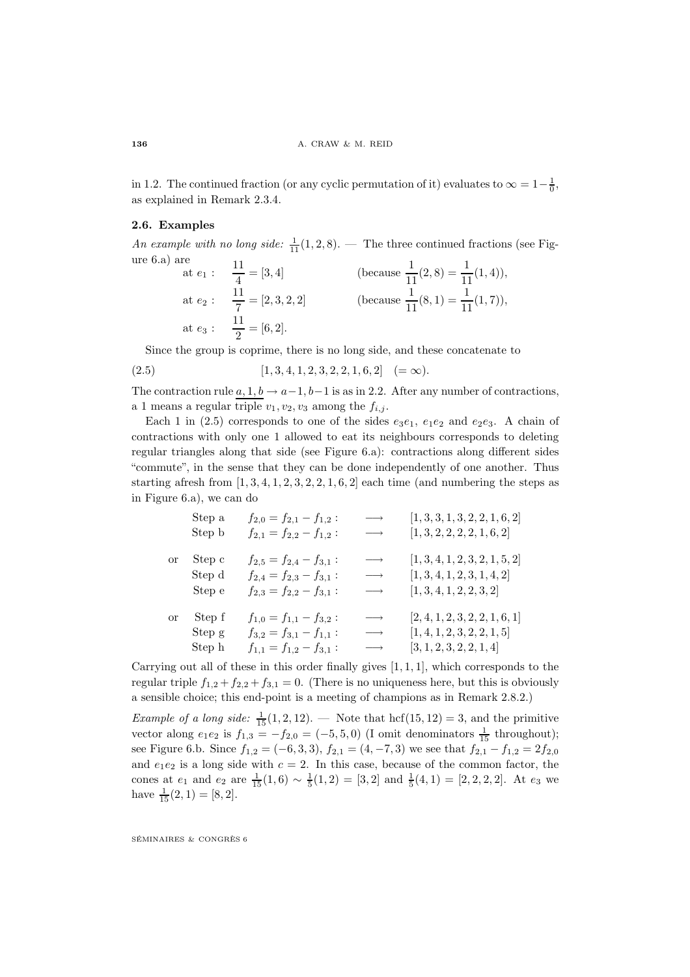in 1.2. The continued fraction (or any cyclic permutation of it) evaluates to  $\infty = 1 - \frac{1}{0}$ , as explained in Remark 2.3.4.

# **2.6. Examples**

An example with no long side:  $\frac{1}{11}(1, 2, 8)$ . — The three continued fractions (see Figure 6.a) are

$$
\begin{aligned}\n\text{Let } e_1: \quad & \frac{11}{4} = [3, 4] \\
\text{at } e_2: \quad & \frac{11}{7} = [2, 3, 2, 2] \\
\text{at } e_3: \quad & \frac{11}{2} = [6, 2].\n\end{aligned}\n\quad \text{(because } \frac{1}{11}(2, 8) = \frac{1}{11}(1, 4)),
$$

Since the group is coprime, there is no long side, and these concatenate to

$$
(2.5) \t[1,3,4,1,2,3,2,2,1,6,2] \t(=\infty).
$$

The contraction rule  $a, 1, b \rightarrow a-1, b-1$  is as in 2.2. After any number of contractions, a 1 means a regular triple  $v_1, v_2, v_3$  among the  $f_{i,j}$ .

Each 1 in (2.5) corresponds to one of the sides  $e_3e_1, e_1e_2$  and  $e_2e_3$ . A chain of contractions with only one 1 allowed to eat its neighbours corresponds to deleting regular triangles along that side (see Figure 6.a): contractions along different sides "commute", in the sense that they can be done independently of one another. Thus starting afresh from  $[1, 3, 4, 1, 2, 3, 2, 2, 1, 6, 2]$  each time (and numbering the steps as in Figure 6.a), we can do

|    | Step a | $f_{2,0}=f_{2,1}-f_{1,2}$ : | $\longrightarrow$ | [1, 3, 3, 1, 3, 2, 2, 1, 6, 2] |
|----|--------|-----------------------------|-------------------|--------------------------------|
|    | Step b | $f_{2,1}=f_{2,2}-f_{1,2}$ : | $\longrightarrow$ | [1, 3, 2, 2, 2, 2, 1, 6, 2]    |
| or | Step c | $f_{2,5}=f_{2,4}-f_{3,1}$ : | $\longrightarrow$ | [1, 3, 4, 1, 2, 3, 2, 1, 5, 2] |
|    | Step d | $f_{2,4}=f_{2,3}-f_{3,1}$ : | $\longrightarrow$ | [1, 3, 4, 1, 2, 3, 1, 4, 2]    |
|    | Step e | $f_{2,3}=f_{2,2}-f_{3,1}$ : | $\longrightarrow$ | [1, 3, 4, 1, 2, 2, 3, 2]       |
| or | Step f | $f_{1,0}=f_{1,1}-f_{3,2}$ : | $\longrightarrow$ | [2, 4, 1, 2, 3, 2, 2, 1, 6, 1] |
|    | Step g | $f_{3,2}=f_{3,1}-f_{1,1}$ : | $\longrightarrow$ | [1, 4, 1, 2, 3, 2, 2, 1, 5]    |
|    | Step h | $f_{1,1}=f_{1,2}-f_{3,1}$ : | $\longrightarrow$ | [3, 1, 2, 3, 2, 2, 1, 4]       |

Carrying out all of these in this order finally gives  $[1, 1, 1]$ , which corresponds to the regular triple  $f_{1,2} + f_{2,2} + f_{3,1} = 0$ . (There is no uniqueness here, but this is obviously a sensible choice; this end-point is a meeting of champions as in Remark 2.8.2.)

*Example of a long side:*  $\frac{1}{15}(1, 2, 12)$ . — Note that hcf(15, 12) = 3, and the primitive vector along  $e_1e_2$  is  $f_{1,3} = -f_{2,0} = (-5,5,0)$  (I omit denominators  $\frac{1}{15}$  throughout); see Figure 6.b. Since  $f_{1,2} = (-6,3,3), f_{2,1} = (4,-7,3)$  we see that  $f_{2,1} - f_{1,2} = 2f_{2,0}$ and  $e_1e_2$  is a long side with  $c = 2$ . In this case, because of the common factor, the cones at  $e_1$  and  $e_2$  are  $\frac{1}{15}(1,6) \sim \frac{1}{5}(1,2) = [3,2]$  and  $\frac{1}{5}(4,1) = [2,2,2,2]$ . At  $e_3$  we have  $\frac{1}{15}(2,1) = [8,2].$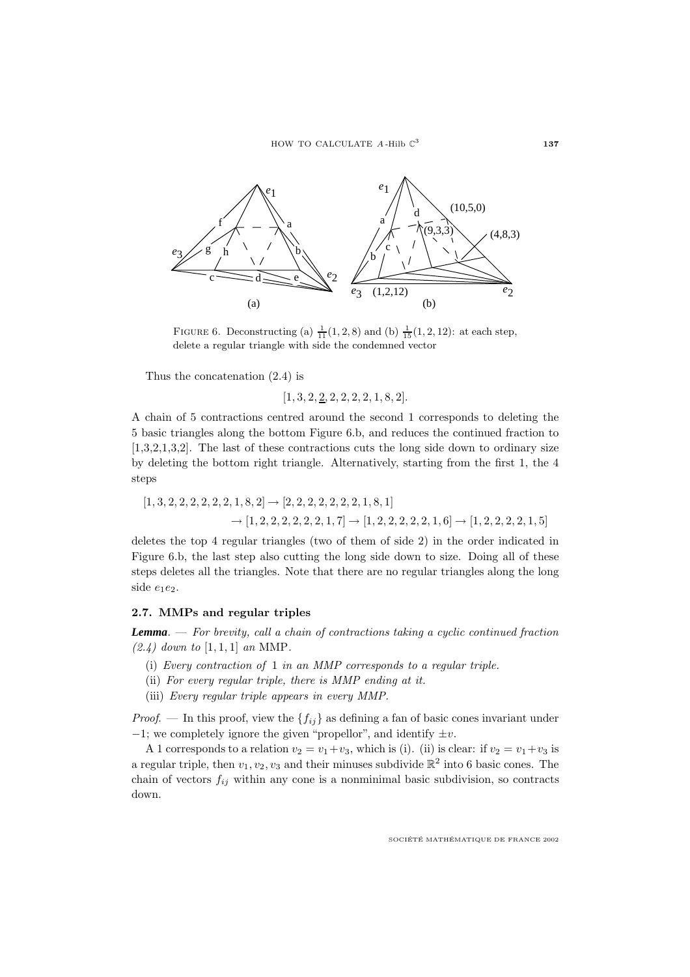

FIGURE 6. Deconstructing (a)  $\frac{1}{11}(1, 2, 8)$  and (b)  $\frac{1}{15}(1, 2, 12)$ : at each step, delete a regular triangle with side the condemned vector

Thus the concatenation (2.4) is

 $[1, 3, 2, \underline{2}, 2, 2, 2, 2, 1, 8, 2].$ 

A chain of 5 contractions centred around the second 1 corresponds to deleting the 5 basic triangles along the bottom Figure 6.b, and reduces the continued fraction to [1,3,2,1,3,2]. The last of these contractions cuts the long side down to ordinary size by deleting the bottom right triangle. Alternatively, starting from the first 1, the 4 steps

$$
[1,3,2,2,2,2,2,1,8,2] \rightarrow [2,2,2,2,2,2,2,1,8,1]
$$

$$
\rightarrow [1,2,2,2,2,2,2,1,7] \rightarrow [1,2,2,2,2,2,1,6] \rightarrow [1,2,2,2,2,2,1,5]
$$

deletes the top 4 regular triangles (two of them of side 2) in the order indicated in Figure 6.b, the last step also cutting the long side down to size. Doing all of these steps deletes all the triangles. Note that there are no regular triangles along the long side e1e2.

### **2.7. MMPs and regular triples**

*Lemma*. — For brevity, call a chain of contractions taking a cyclic continued fraction  $(2.4)$  down to  $[1, 1, 1]$  an MMP.

- (i) Every contraction of 1 in an MMP corresponds to a regular triple.
- (ii) For every regular triple, there is MMP ending at it.
- (iii) Every regular triple appears in every MMP.

*Proof.* — In this proof, view the  $\{f_{ij}\}\$ as defining a fan of basic cones invariant under  $-1$ ; we completely ignore the given "propellor", and identify  $\pm v$ .

A 1 corresponds to a relation  $v_2 = v_1 + v_3$ , which is (i). (ii) is clear: if  $v_2 = v_1 + v_3$  is a regular triple, then  $v_1, v_2, v_3$  and their minuses subdivide  $\mathbb{R}^2$  into 6 basic cones. The chain of vectors  $f_{ij}$  within any cone is a nonminimal basic subdivision, so contracts down.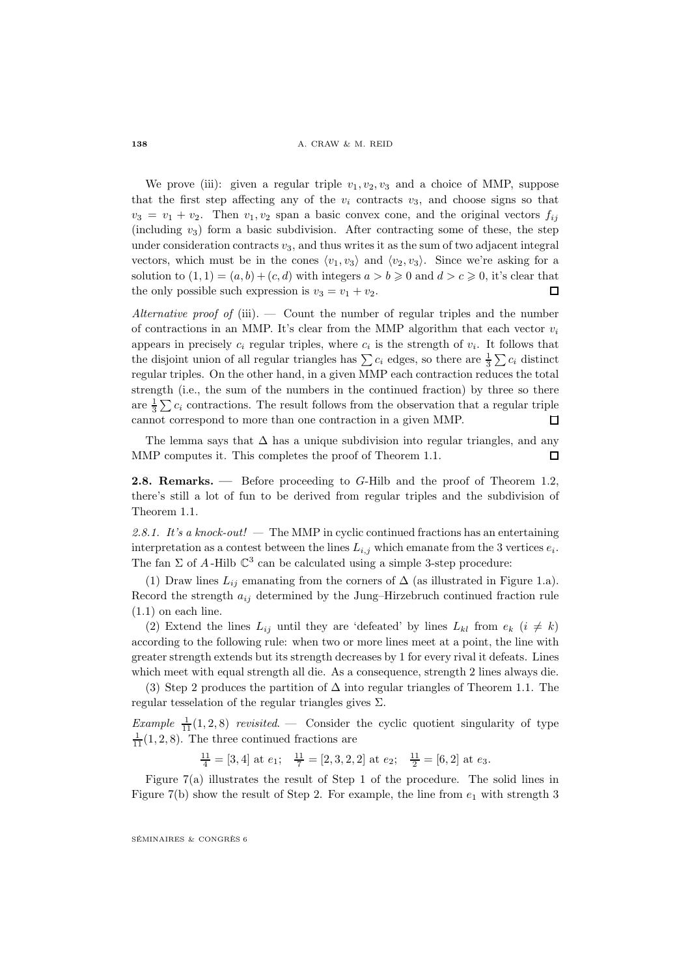We prove (iii): given a regular triple  $v_1, v_2, v_3$  and a choice of MMP, suppose that the first step affecting any of the  $v_i$  contracts  $v_3$ , and choose signs so that  $v_3 = v_1 + v_2$ . Then  $v_1, v_2$  span a basic convex cone, and the original vectors  $f_{ij}$ (including  $v_3$ ) form a basic subdivision. After contracting some of these, the step under consideration contracts  $v_3$ , and thus writes it as the sum of two adjacent integral vectors, which must be in the cones  $\langle v_1, v_3 \rangle$  and  $\langle v_2, v_3 \rangle$ . Since we're asking for a solution to  $(1, 1) = (a, b) + (c, d)$  with integers  $a > b \geqslant 0$  and  $d > c \geqslant 0$ , it's clear that the only possible such expression is  $v_3 = v_1 + v_2$ .  $\Box$ 

Alternative proof of (iii).  $-$  Count the number of regular triples and the number of contractions in an MMP. It's clear from the MMP algorithm that each vector  $v_i$ appears in precisely  $c_i$  regular triples, where  $c_i$  is the strength of  $v_i$ . It follows that the disjoint union of all regular triangles has  $\sum c_i$  edges, so there are  $\frac{1}{3}\sum c_i$  distinct regular triples. On the other hand, in a given MMP each contraction reduces the total strength (i.e., the sum of the numbers in the continued fraction) by three so there are  $\frac{1}{3} \sum c_i$  contractions. The result follows from the observation that a regular triple cannot correspond to more than one contraction in a given MMP.  $\Box$ 

The lemma says that  $\Delta$  has a unique subdivision into regular triangles, and any MMP computes it. This completes the proof of Theorem 1.1.  $\Box$ 

**2.8. Remarks. —** Before proceeding to G-Hilb and the proof of Theorem 1.2, there's still a lot of fun to be derived from regular triples and the subdivision of Theorem 1.1.

2.8.1. It's a knock-out! — The MMP in cyclic continued fractions has an entertaining interpretation as a contest between the lines  $L_{i,j}$  which emanate from the 3 vertices  $e_i$ . The fan  $\Sigma$  of A-Hilb  $\mathbb{C}^3$  can be calculated using a simple 3-step procedure:

(1) Draw lines  $L_{ij}$  emanating from the corners of  $\Delta$  (as illustrated in Figure 1.a). Record the strength  $a_{ij}$  determined by the Jung–Hirzebruch continued fraction rule  $(1.1)$  on each line.

(2) Extend the lines  $L_{ij}$  until they are 'defeated' by lines  $L_{kl}$  from  $e_k$   $(i \neq k)$ according to the following rule: when two or more lines meet at a point, the line with greater strength extends but its strength decreases by 1 for every rival it defeats. Lines which meet with equal strength all die. As a consequence, strength 2 lines always die.

(3) Step 2 produces the partition of  $\Delta$  into regular triangles of Theorem 1.1. The regular tesselation of the regular triangles gives  $\Sigma$ .

Example  $\frac{1}{11}(1,2,8)$  revisited.  $\cdots$  Consider the cyclic quotient singularity of type  $\frac{1}{11}(1, 2, 8)$ . The three continued fractions are

 $\frac{11}{4} = [3, 4]$  at  $e_1$ ;  $\frac{11}{7} = [2, 3, 2, 2]$  at  $e_2$ ;  $\frac{11}{2} = [6, 2]$  at  $e_3$ .

Figure 7(a) illustrates the result of Step 1 of the procedure. The solid lines in Figure 7(b) show the result of Step 2. For example, the line from  $e_1$  with strength 3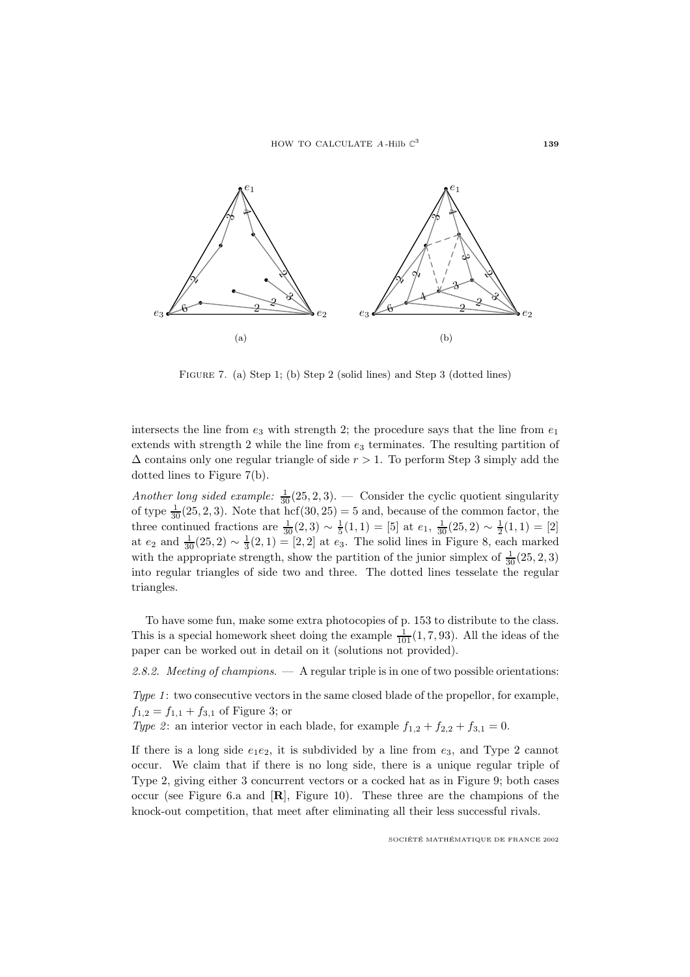

Figure 7. (a) Step 1; (b) Step 2 (solid lines) and Step 3 (dotted lines)

intersects the line from  $e_3$  with strength 2; the procedure says that the line from  $e_1$ extends with strength 2 while the line from  $e_3$  terminates. The resulting partition of  $\Delta$  contains only one regular triangle of side  $r > 1$ . To perform Step 3 simply add the dotted lines to Figure 7(b).

Another long sided example:  $\frac{1}{30}(25, 2, 3)$ . — Consider the cyclic quotient singularity of type  $\frac{1}{30}(25, 2, 3)$ . Note that hcf(30, 25) = 5 and, because of the common factor, the three continued fractions are  $\frac{1}{30}(2,3) \sim \frac{1}{5}(1,1) = [5]$  at  $e_1$ ,  $\frac{1}{30}(25,2) \sim \frac{1}{2}(1,1) = [2]$ at  $e_2$  and  $\frac{1}{30}(25, 2) \sim \frac{1}{3}(2, 1) = [2, 2]$  at  $e_3$ . The solid lines in Figure 8, each marked with the appropriate strength, show the partition of the junior simplex of  $\frac{1}{30}(25, 2, 3)$ into regular triangles of side two and three. The dotted lines tesselate the regular triangles.

To have some fun, make some extra photocopies of p. 153 to distribute to the class. This is a special homework sheet doing the example  $\frac{1}{101}(1, 7, 93)$ . All the ideas of the paper can be worked out in detail on it (solutions not provided).

2.8.2. Meeting of champions.  $\overline{a}$  A regular triple is in one of two possible orientations:

Type 1: two consecutive vectors in the same closed blade of the propellor, for example,  $f_{1,2} = f_{1,1} + f_{3,1}$  of Figure 3; or

Type 2: an interior vector in each blade, for example  $f_{1,2} + f_{2,2} + f_{3,1} = 0$ .

If there is a long side  $e_1e_2$ , it is subdivided by a line from  $e_3$ , and Type 2 cannot occur. We claim that if there is no long side, there is a unique regular triple of Type 2, giving either 3 concurrent vectors or a cocked hat as in Figure 9; both cases occur (see Figure 6.a and [**R**], Figure 10). These three are the champions of the knock-out competition, that meet after eliminating all their less successful rivals.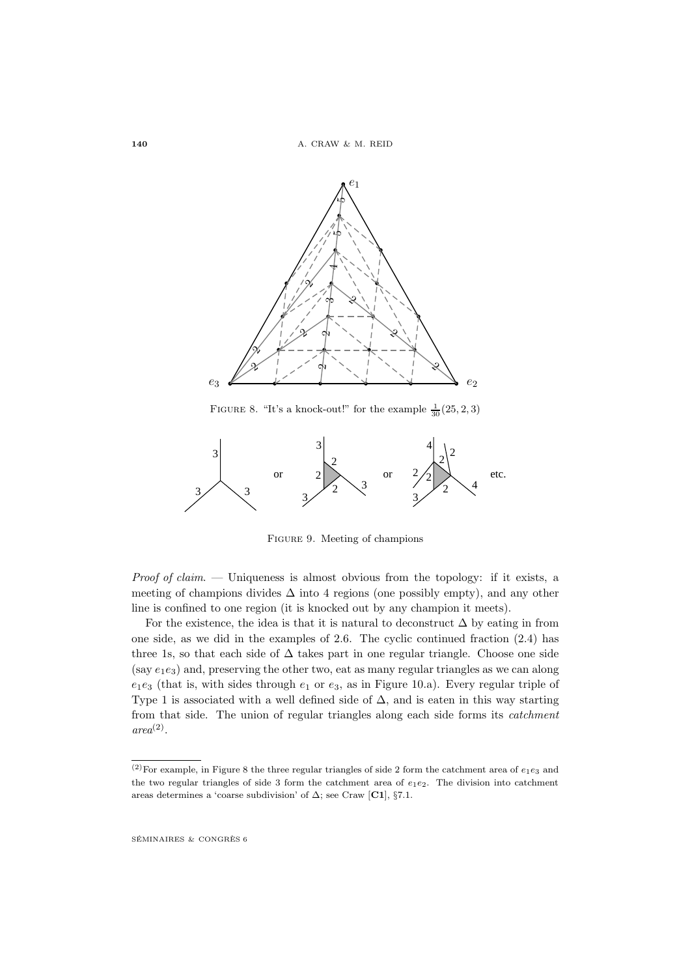

FIGURE 8. "It's a knock-out!" for the example  $\frac{1}{30}(25, 2, 3)$ 



Figure 9. Meeting of champions

*Proof of claim.* — Uniqueness is almost obvious from the topology: if it exists, a meeting of champions divides  $\Delta$  into 4 regions (one possibly empty), and any other line is confined to one region (it is knocked out by any champion it meets).

For the existence, the idea is that it is natural to deconstruct  $\Delta$  by eating in from one side, as we did in the examples of 2.6. The cyclic continued fraction (2.4) has three 1s, so that each side of  $\Delta$  takes part in one regular triangle. Choose one side (say  $e_1e_3$ ) and, preserving the other two, eat as many regular triangles as we can along  $e_1e_3$  (that is, with sides through  $e_1$  or  $e_3$ , as in Figure 10.a). Every regular triple of Type 1 is associated with a well defined side of  $\Delta$ , and is eaten in this way starting from that side. The union of regular triangles along each side forms its catchment  $area<sup>(2)</sup>$ .

<sup>&</sup>lt;sup>(2)</sup>For example, in Figure 8 the three regular triangles of side 2 form the catchment area of  $e_1e_3$  and the two regular triangles of side 3 form the catchment area of  $e_1e_2$ . The division into catchment areas determines a 'coarse subdivision' of ∆; see Craw [**C1**], §7.1.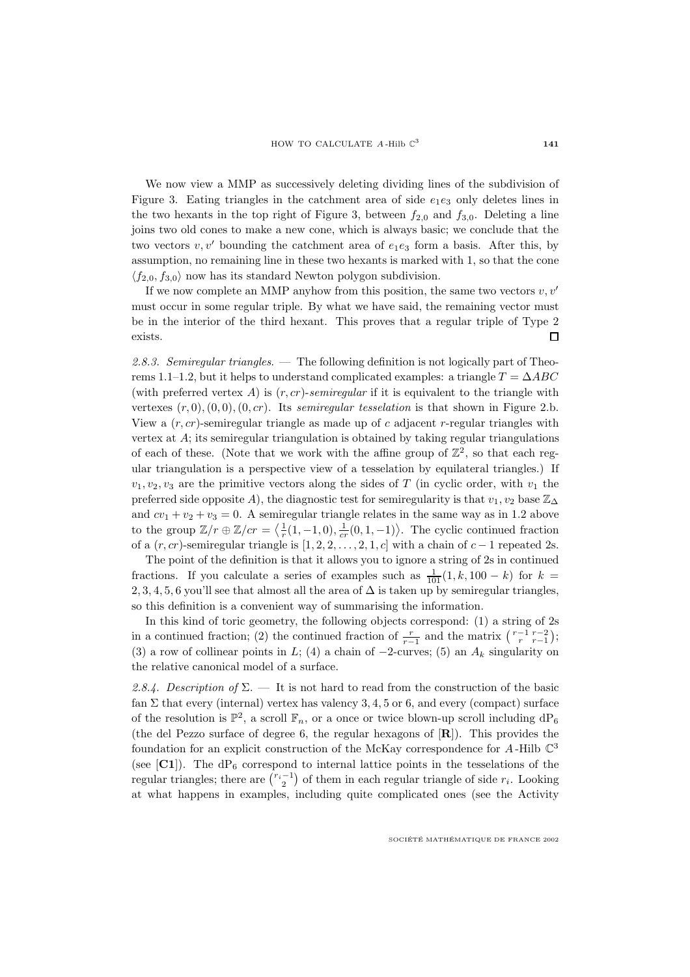We now view a MMP as successively deleting dividing lines of the subdivision of Figure 3. Eating triangles in the catchment area of side  $e_1e_3$  only deletes lines in the two hexants in the top right of Figure 3, between  $f_{2,0}$  and  $f_{3,0}$ . Deleting a line joins two old cones to make a new cone, which is always basic; we conclude that the two vectors  $v, v'$  bounding the catchment area of  $e_1e_3$  form a basis. After this, by assumption, no remaining line in these two hexants is marked with 1, so that the cone  $\langle f_{2,0}, f_{3,0} \rangle$  now has its standard Newton polygon subdivision.

If we now complete an MMP anyhow from this position, the same two vectors  $v, v'$ must occur in some regular triple. By what we have said, the remaining vector must be in the interior of the third hexant. This proves that a regular triple of Type 2 exists.  $\Box$ 

2.8.3. Semiregular triangles. — The following definition is not logically part of Theorems 1.1–1.2, but it helps to understand complicated examples: a triangle  $T = \Delta ABC$ (with preferred vertex A) is  $(r, cr)$ -semiregular if it is equivalent to the triangle with vertexes  $(r, 0), (0, 0), (0, cr)$ . Its semiregular tesselation is that shown in Figure 2.b. View a  $(r, cr)$ -semiregular triangle as made up of c adjacent r-regular triangles with vertex at  $A$ ; its semiregular triangulation is obtained by taking regular triangulations of each of these. (Note that we work with the affine group of  $\mathbb{Z}^2$ , so that each regular triangulation is a perspective view of a tesselation by equilateral triangles.) If  $v_1, v_2, v_3$  are the primitive vectors along the sides of T (in cyclic order, with  $v_1$  the preferred side opposite A), the diagnostic test for semiregularity is that  $v_1, v_2$  base  $\mathbb{Z}_{\Delta}$ and  $cv_1 + v_2 + v_3 = 0$ . A semiregular triangle relates in the same way as in 1.2 above to the group  $\mathbb{Z}/r \oplus \mathbb{Z}/cr = \langle \frac{1}{r}(1,-1,0), \frac{1}{cr}(0,1,-1) \rangle$ . The cyclic continued fraction of a  $(r, cr)$ -semiregular triangle is  $[1, 2, 2, ..., 2, 1, c]$  with a chain of  $c - 1$  repeated 2s.

The point of the definition is that it allows you to ignore a string of 2s in continued fractions. If you calculate a series of examples such as  $\frac{1}{101}(1, k, 100 - k)$  for  $k =$ 2, 3, 4, 5, 6 you'll see that almost all the area of  $\Delta$  is taken up by semiregular triangles, so this definition is a convenient way of summarising the information.

In this kind of toric geometry, the following objects correspond: (1) a string of 2s in a continued fraction; (2) the continued fraction of  $\frac{r}{r-1}$  and the matrix  $\binom{r-1}{r}$ ; (3) a row of collinear points in L; (4) a chain of  $-2$ -curves; (5) an  $A_k$  singularity on the relative canonical model of a surface.

2.8.4. Description of  $\Sigma$ . — It is not hard to read from the construction of the basic fan  $\Sigma$  that every (internal) vertex has valency 3, 4, 5 or 6, and every (compact) surface of the resolution is  $\mathbb{P}^2$ , a scroll  $\mathbb{F}_n$ , or a once or twice blown-up scroll including  $dP_6$ (the del Pezzo surface of degree 6, the regular hexagons of [**R**]). This provides the foundation for an explicit construction of the McKay correspondence for  $A$ -Hilb  $\mathbb{C}^3$ (see  $\left[\text{C1}\right]$ ). The dP<sub>6</sub> correspond to internal lattice points in the tesselations of the regular triangles; there are  $\binom{r_i-1}{2}$  of them in each regular triangle of side  $r_i$ . Looking at what happens in examples, including quite complicated ones (see the Activity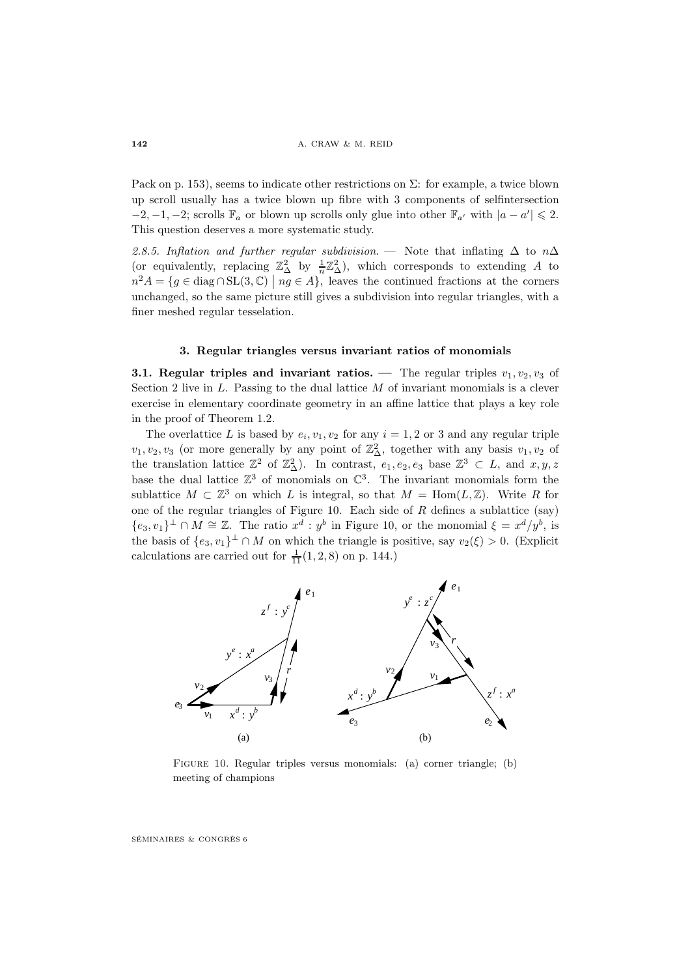Pack on p. 153), seems to indicate other restrictions on  $\Sigma$ : for example, a twice blown up scroll usually has a twice blown up fibre with 3 components of selfintersection  $-2, -1, -2$ ; scrolls  $\mathbb{F}_a$  or blown up scrolls only glue into other  $\mathbb{F}_{a'}$  with  $|a - a'| \leq 2$ . This question deserves a more systematic study.

2.8.5. Inflation and further regular subdivision. — Note that inflating  $\Delta$  to n $\Delta$ (or equivalently, replacing  $\mathbb{Z}_{\Delta}^2$  by  $\frac{1}{n}\mathbb{Z}_{\Delta}^2$ ), which corresponds to extending A to  $n^2 A = \{g \in \text{diag} \cap \text{SL}(3, \mathbb{C}) \mid ng \in A\},\$  leaves the continued fractions at the corners unchanged, so the same picture still gives a subdivision into regular triangles, with a finer meshed regular tesselation.

### **3. Regular triangles versus invariant ratios of monomials**

**3.1. Regular triples and invariant ratios. —** The regular triples  $v_1, v_2, v_3$  of Section 2 live in  $L$ . Passing to the dual lattice  $M$  of invariant monomials is a clever exercise in elementary coordinate geometry in an affine lattice that plays a key role in the proof of Theorem 1.2.

The overlattice L is based by  $e_i, v_1, v_2$  for any  $i = 1, 2$  or 3 and any regular triple  $v_1, v_2, v_3$  (or more generally by any point of  $\mathbb{Z}^2_\Delta$ , together with any basis  $v_1, v_2$  of the translation lattice  $\mathbb{Z}^2$  of  $\mathbb{Z}^2_\Delta$ ). In contrast,  $e_1, e_2, e_3$  base  $\mathbb{Z}^3 \subset L$ , and  $x, y, z$ base the dual lattice  $\mathbb{Z}^3$  of monomials on  $\mathbb{C}^3$ . The invariant monomials form the sublattice  $M \subset \mathbb{Z}^3$  on which L is integral, so that  $M = \text{Hom}(L, \mathbb{Z})$ . Write R for one of the regular triangles of Figure 10. Each side of  $R$  defines a sublattice (say)  ${e_3, v_1}^{\perp} \cap M \cong \mathbb{Z}$ . The ratio  $x^d : y^b$  in Figure 10, or the monomial  $\xi = x^d/y^b$ , is the basis of  $\{e_3, v_1\}^{\perp} \cap M$  on which the triangle is positive, say  $v_2(\xi) > 0$ . (Explicit calculations are carried out for  $\frac{1}{11}(1, 2, 8)$  on p. 144.)



Figure 10. Regular triples versus monomials: (a) corner triangle; (b) meeting of champions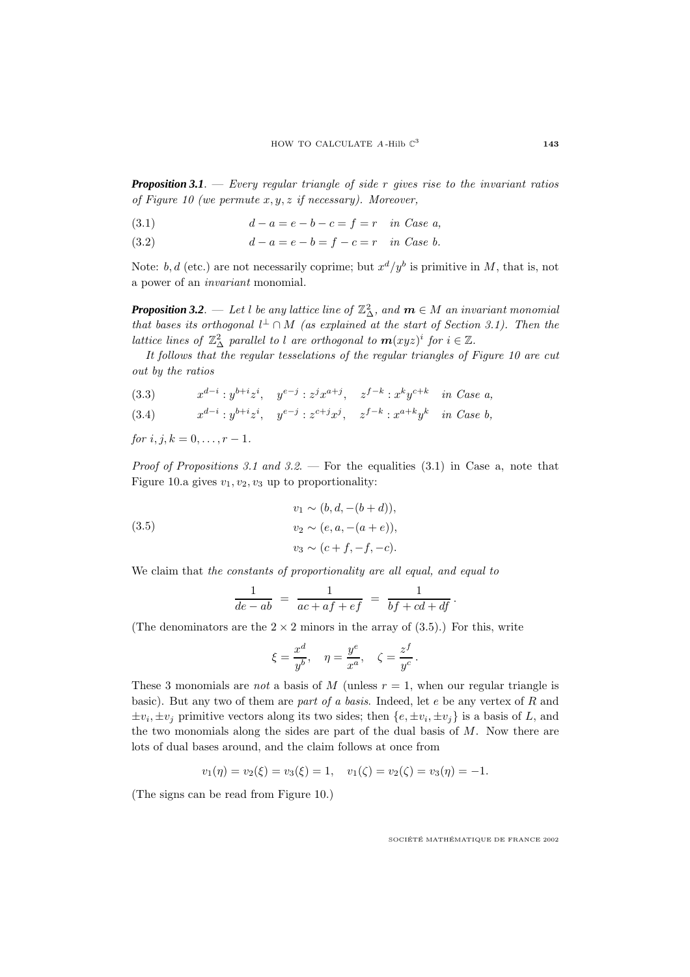**Proposition 3.1**. — Every regular triangle of side  $r$  gives rise to the invariant ratios of Figure 10 (we permute  $x, y, z$  if necessary). Moreover,

(3.1) 
$$
d - a = e - b - c = f = r \text{ in Case a,}
$$

(3.2) 
$$
d - a = e - b = f - c = r \text{ in Case b.}
$$

Note: b, d (etc.) are not necessarily coprime; but  $x^d/y^b$  is primitive in M, that is, not a power of an invariant monomial.

**Proposition 3.2**. — Let l be any lattice line of  $\mathbb{Z}_{\Delta}^2$ , and  $\boldsymbol{m} \in M$  an invariant monomial that bases its orthogonal  $l^{\perp} \cap M$  (as explained at the start of Section 3.1). Then the lattice lines of  $\mathbb{Z}_{\Delta}^2$  parallel to l are orthogonal to  $m(xyz)^i$  for  $i \in \mathbb{Z}$ .

It follows that the regular tesselations of the regular triangles of Figure 10 are cut out by the ratios

- (3.3)  $x^{d-i} : y^{b+i}z^i, y^{e-j} : z^j x^{a+j}, z^{f-k} : x^k y^{c+k} \text{ in Case a,}$
- (3.4)  $x^{d-i} : y^{b+i}z^i, y^{e-j} : z^{c+j}x^j, z^{f-k} : x^{a+k}y^k \text{ in Case } b,$

for  $i, j, k = 0, \ldots, r - 1$ .

*Proof of Propositions 3.1 and 3.2.* — For the equalities  $(3.1)$  in Case a, note that Figure 10.a gives  $v_1, v_2, v_3$  up to proportionality:

(3.5) 
$$
v_1 \sim (b, d, -(b+d)),
$$

$$
v_2 \sim (e, a, -(a+e)),
$$

$$
v_3 \sim (c+f, -f, -c).
$$

We claim that the constants of proportionality are all equal, and equal to

$$
\frac{1}{de - ab} = \frac{1}{ac + af + ef} = \frac{1}{bf + cd + df}.
$$

(The denominators are the  $2 \times 2$  minors in the array of  $(3.5)$ .) For this, write

$$
\xi = \frac{x^d}{y^b}, \quad \eta = \frac{y^e}{x^a}, \quad \zeta = \frac{z^f}{y^c}.
$$

These 3 monomials are *not* a basis of M (unless  $r = 1$ , when our regular triangle is basic). But any two of them are part of a basis. Indeed, let  $e$  be any vertex of  $R$  and  $\pm v_i, \pm v_j$  primitive vectors along its two sides; then  $\{e, \pm v_i, \pm v_j\}$  is a basis of L, and the two monomials along the sides are part of the dual basis of  $M$ . Now there are lots of dual bases around, and the claim follows at once from

$$
v_1(\eta) = v_2(\xi) = v_3(\xi) = 1
$$
,  $v_1(\zeta) = v_2(\zeta) = v_3(\eta) = -1$ .

(The signs can be read from Figure 10.)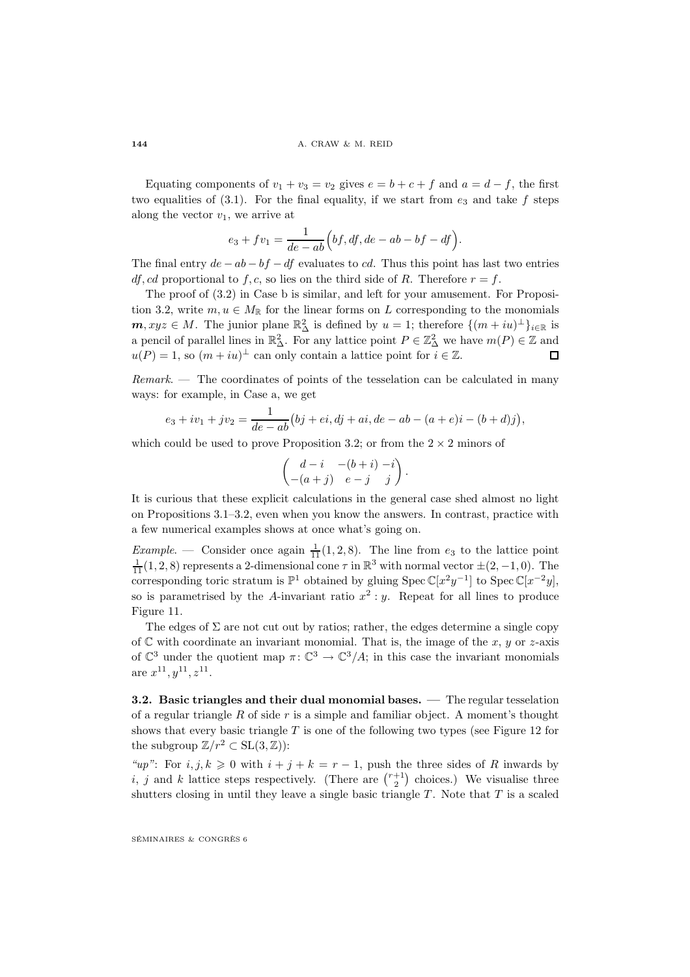Equating components of  $v_1 + v_3 = v_2$  gives  $e = b + c + f$  and  $a = d - f$ , the first two equalities of  $(3.1)$ . For the final equality, if we start from  $e_3$  and take f steps along the vector  $v_1$ , we arrive at

$$
e_3 + fv_1 = \frac{1}{de - ab} \Big( bf, df, de - ab - bf - df \Big).
$$

The final entry  $de - ab - bf - df$  evaluates to cd. Thus this point has last two entries df, cd proportional to f, c, so lies on the third side of R. Therefore  $r = f$ .

The proof of (3.2) in Case b is similar, and left for your amusement. For Proposition 3.2, write  $m, u \in M_{\mathbb{R}}$  for the linear forms on L corresponding to the monomials  $m, xyz \in M$ . The junior plane  $\mathbb{R}^2_{\Delta}$  is defined by  $u = 1$ ; therefore  $\{(m + iu)^{\perp}\}_{i \in \mathbb{R}}$  is a pencil of parallel lines in  $\mathbb{R}^2_\Delta$ . For any lattice point  $P \in \mathbb{Z}^2_\Delta$  we have  $m(P) \in \mathbb{Z}$  and  $u(P) = 1$ , so  $(m + iu)^{\perp}$  can only contain a lattice point for  $i \in \mathbb{Z}$ . П

 $Remark.$  – The coordinates of points of the tesselation can be calculated in many ways: for example, in Case a, we get

$$
e_3 + iv_1 + jv_2 = \frac{1}{de - ab}(bj + ei, dj + ai, de - ab - (a + e)i - (b + d)j),
$$

which could be used to prove Proposition 3.2; or from the  $2 \times 2$  minors of

$$
\begin{pmatrix} d-i & -(b+i) -i \ -(a+j) & e-j & j \end{pmatrix}.
$$

It is curious that these explicit calculations in the general case shed almost no light on Propositions 3.1–3.2, even when you know the answers. In contrast, practice with a few numerical examples shows at once what's going on.

*Example.* — Consider once again  $\frac{1}{11}(1,2,8)$ . The line from  $e_3$  to the lattice point  $\frac{1}{11}(1,2,8)$  represents a 2-dimensional cone  $\tau$  in  $\mathbb{R}^3$  with normal vector  $\pm (2,-1,0)$ . The corresponding toric stratum is  $\mathbb{P}^1$  obtained by gluing Spec  $\mathbb{C}[x^2y^{-1}]$  to Spec  $\mathbb{C}[x^{-2}y]$ , so is parametrised by the A-invariant ratio  $x^2 : y$ . Repeat for all lines to produce Figure 11.

The edges of  $\Sigma$  are not cut out by ratios; rather, the edges determine a single copy of  $\mathbb C$  with coordinate an invariant monomial. That is, the image of the x, y or z-axis of  $\mathbb{C}^3$  under the quotient map  $\pi: \mathbb{C}^3 \to \mathbb{C}^3/A$ ; in this case the invariant monomials are  $x^{11}, y^{11}, z^{11}.$ 

**3.2. Basic triangles and their dual monomial bases. —** The regular tesselation of a regular triangle  $R$  of side  $r$  is a simple and familiar object. A moment's thought shows that every basic triangle  $T$  is one of the following two types (see Figure 12 for the subgroup  $\mathbb{Z}/r^2 \subset SL(3,\mathbb{Z})$ :

"up": For  $i, j, k \geq 0$  with  $i + j + k = r - 1$ , push the three sides of R inwards by i, j and k lattice steps respectively. (There are  $\binom{r+1}{2}$  choices.) We visualise three shutters closing in until they leave a single basic triangle  $T$ . Note that  $T$  is a scaled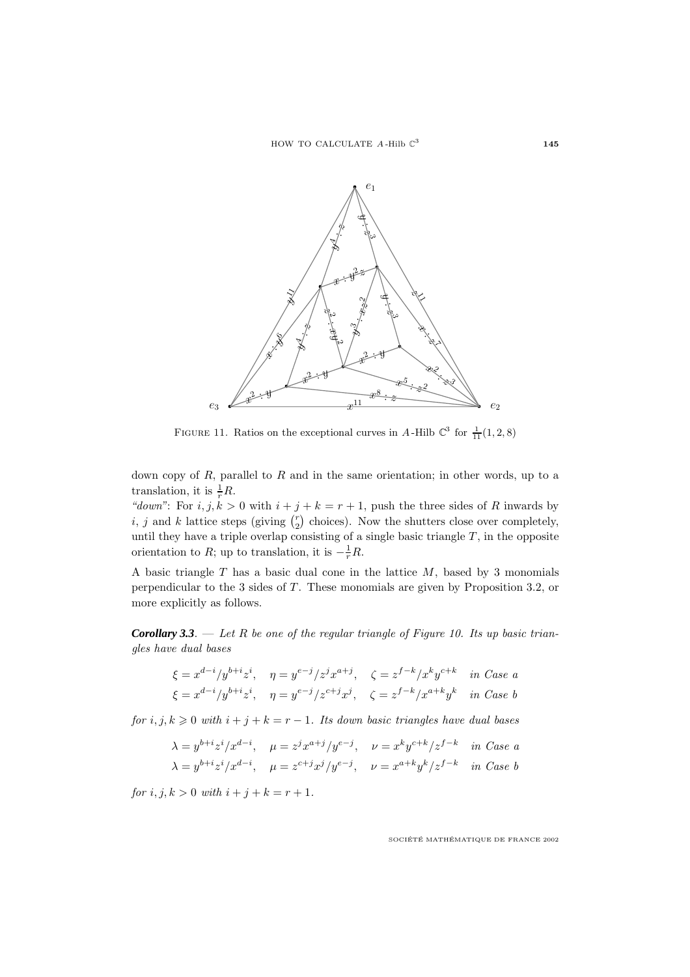

FIGURE 11. Ratios on the exceptional curves in A-Hilb  $\mathbb{C}^3$  for  $\frac{1}{11}(1,2,8)$ 

down copy of  $R$ , parallel to  $R$  and in the same orientation; in other words, up to a translation, it is  $\frac{1}{r}R$ .

"down": For  $i, j, k > 0$  with  $i + j + k = r + 1$ , push the three sides of R inwards by *i*, *j* and *k* lattice steps (giving  $\binom{r}{2}$  choices). Now the shutters close over completely, until they have a triple overlap consisting of a single basic triangle  $T$ , in the opposite orientation to R; up to translation, it is  $-\frac{1}{r}R$ .

A basic triangle  $T$  has a basic dual cone in the lattice  $M$ , based by 3 monomials perpendicular to the  $3$  sides of  $T$ . These monomials are given by Proposition 3.2, or more explicitly as follows.

**Corollary 3.3**. — Let R be one of the regular triangle of Figure 10. Its up basic triangles have dual bases

$$
\xi = x^{d-i}/y^{b+i}z^i, \quad \eta = y^{e-j}/z^j x^{a+j}, \quad \zeta = z^{f-k}/x^k y^{c+k} \quad \text{in Case a}
$$
  

$$
\xi = x^{d-i}/y^{b+i}z^i, \quad \eta = y^{e-j}/z^{c+j}x^j, \quad \zeta = z^{f-k}/x^{a+k}y^k \quad \text{in Case b}
$$

for  $i, j, k \geq 0$  with  $i + j + k = r - 1$ . Its down basic triangles have dual bases

$$
\lambda = y^{b+i} z^i / x^{d-i}, \quad \mu = z^j x^{a+j} / y^{e-j}, \quad \nu = x^k y^{c+k} / z^{f-k} \quad \text{in Case a}
$$
\n
$$
\lambda = y^{b+i} z^i / x^{d-i}, \quad \mu = z^{c+j} x^j / y^{e-j}, \quad \nu = x^{a+k} y^k / z^{f-k} \quad \text{in Case b}
$$

for  $i, j, k > 0$  with  $i + j + k = r + 1$ .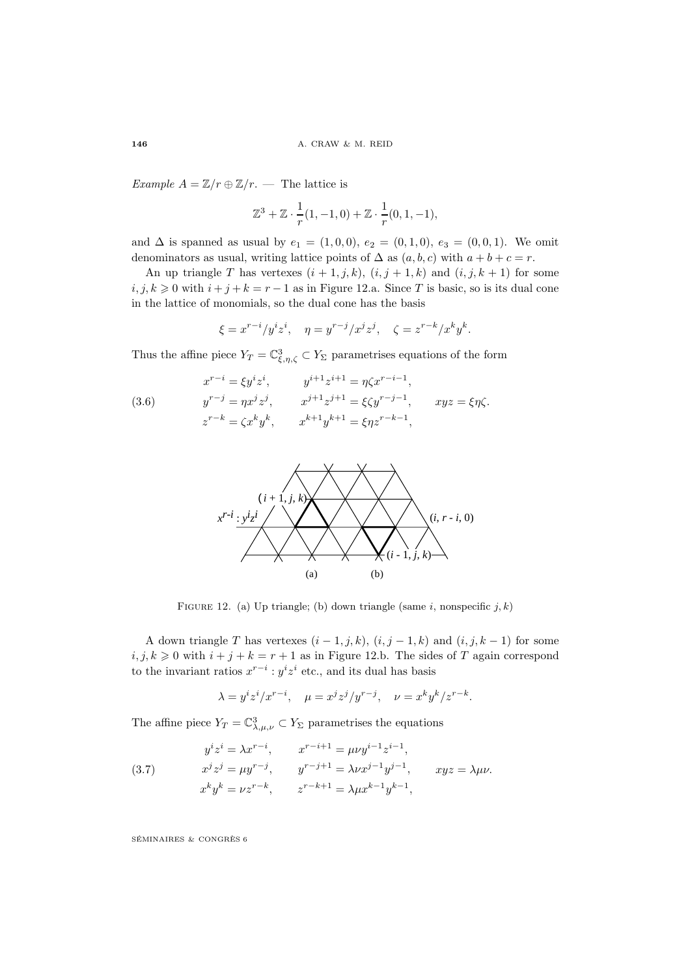Example  $A = \mathbb{Z}/r \oplus \mathbb{Z}/r$ . — The lattice is

$$
\mathbb{Z}^3 + \mathbb{Z} \cdot \frac{1}{r}(1, -1, 0) + \mathbb{Z} \cdot \frac{1}{r}(0, 1, -1),
$$

and  $\Delta$  is spanned as usual by  $e_1 = (1, 0, 0), e_2 = (0, 1, 0), e_3 = (0, 0, 1).$  We omit denominators as usual, writing lattice points of  $\Delta$  as  $(a, b, c)$  with  $a + b + c = r$ .

An up triangle T has vertexes  $(i + 1, j, k)$ ,  $(i, j + 1, k)$  and  $(i, j, k + 1)$  for some  $i, j, k \geq 0$  with  $i + j + k = r - 1$  as in Figure 12.a. Since T is basic, so is its dual cone in the lattice of monomials, so the dual cone has the basis

$$
\xi = x^{r-i}/y^i z^i, \quad \eta = y^{r-j}/x^j z^j, \quad \zeta = z^{r-k}/x^k y^k.
$$

Thus the affine piece  $Y_T = \mathbb{C}^3_{\xi,\eta,\zeta} \subset Y_\Sigma$  parametrises equations of the form

(3.6) 
$$
x^{r-i} = \xi y^i z^i, \qquad y^{i+1} z^{i+1} = \eta \zeta x^{r-i-1},
$$

$$
y^{r-j} = \eta x^j z^j, \qquad x^{j+1} z^{j+1} = \xi \zeta y^{r-j-1}, \qquad xyz = \xi \eta \zeta.
$$

$$
z^{r-k} = \zeta x^k y^k, \qquad x^{k+1} y^{k+1} = \xi \eta z^{r-k-1},
$$



FIGURE 12. (a) Up triangle; (b) down triangle (same i, nonspecific j, k)

A down triangle T has vertexes  $(i-1, j, k)$ ,  $(i, j-1, k)$  and  $(i, j, k-1)$  for some  $i, j, k \geq 0$  with  $i + j + k = r + 1$  as in Figure 12.b. The sides of T again correspond to the invariant ratios  $x^{r-i}$ :  $y^i z^i$  etc., and its dual has basis

$$
\lambda = y^i z^i / x^{r-i}, \quad \mu = x^j z^j / y^{r-j}, \quad \nu = x^k y^k / z^{r-k}.
$$

The affine piece  $Y_T = \mathbb{C}^3_{\lambda,\mu,\nu} \subset Y_\Sigma$  parametrises the equations

(3.7) 
$$
y^{i}z^{i} = \lambda x^{r-i}, \qquad x^{r-i+1} = \mu\nu y^{i-1} z^{i-1},
$$

$$
x^{j}z^{j} = \mu y^{r-j}, \qquad y^{r-j+1} = \lambda \nu x^{j-1} y^{j-1}, \qquad xyz = \lambda \mu\nu.
$$

$$
x^{k}y^{k} = \nu z^{r-k}, \qquad z^{r-k+1} = \lambda \mu x^{k-1} y^{k-1},
$$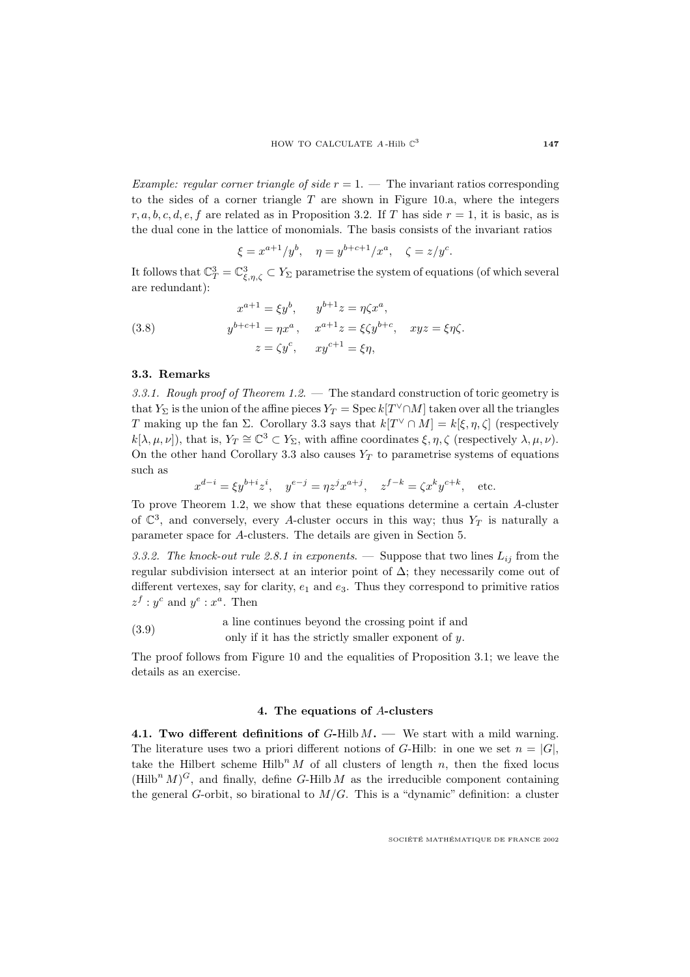Example: regular corner triangle of side  $r = 1$ .  $-$  The invariant ratios corresponding to the sides of a corner triangle  $T$  are shown in Figure 10.a, where the integers  $r, a, b, c, d, e, f$  are related as in Proposition 3.2. If T has side  $r = 1$ , it is basic, as is the dual cone in the lattice of monomials. The basis consists of the invariant ratios

$$
\xi = x^{a+1}/y^b
$$
,  $\eta = y^{b+c+1}/x^a$ ,  $\zeta = z/y^c$ .

It follows that  $\mathbb{C}^3_T = \mathbb{C}^3_{\xi,\eta,\zeta} \subset Y_\Sigma$  parametrise the system of equations (of which several are redundant):

(3.8) 
$$
x^{a+1} = \xi y^b, \qquad y^{b+1}z = \eta \zeta x^a,
$$

$$
y^{b+c+1} = \eta x^a, \qquad x^{a+1}z = \xi \zeta y^{b+c}, \qquad xyz = \xi \eta \zeta.
$$

$$
z = \zeta y^c, \qquad xy^{c+1} = \xi \eta,
$$

### **3.3. Remarks**

3.3.1. Rough proof of Theorem 1.2. — The standard construction of toric geometry is that  $Y_{\Sigma}$  is the union of the affine pieces  $Y_T = \text{Spec } k[T^{\vee} \cap M]$  taken over all the triangles T making up the fan Σ. Corollary 3.3 says that  $k[T^{\vee} \cap M] = k[\xi, \eta, \zeta]$  (respectively  $k[\lambda, \mu, \nu]$ , that is,  $Y_T \cong \mathbb{C}^3 \subset Y_{\Sigma}$ , with affine coordinates  $\xi, \eta, \zeta$  (respectively  $\lambda, \mu, \nu$ ). On the other hand Corollary 3.3 also causes  $Y_T$  to parametrise systems of equations such as

$$
x^{d-i} = \xi y^{b+i} z^i
$$
,  $y^{e-j} = \eta z^j x^{a+j}$ ,  $z^{f-k} = \zeta x^k y^{c+k}$ , etc.

To prove Theorem 1.2, we show that these equations determine a certain A-cluster of  $\mathbb{C}^3$ , and conversely, every A-cluster occurs in this way; thus  $Y_T$  is naturally a parameter space for A-clusters. The details are given in Section 5.

3.3.2. The knock-out rule 2.8.1 in exponents. — Suppose that two lines  $L_{ij}$  from the regular subdivision intersect at an interior point of  $\Delta$ ; they necessarily come out of different vertexes, say for clarity,  $e_1$  and  $e_3$ . Thus they correspond to primitive ratios  $z^f : y^c$  and  $y^e : x^a$ . Then

(3.9) a line continues beyond the crossing point if and only if it has the strictly smaller exponent of  $y$ .

The proof follows from Figure 10 and the equalities of Proposition 3.1; we leave the details as an exercise.

### **4. The equations of** A**-clusters**

**4.1. Two different definitions of** G**-**Hilb M**. —** We start witha mild warning. The literature uses two a priori different notions of G-Hilb: in one we set  $n = |G|$ , take the Hilbert scheme  $Hilb<sup>n</sup> M$  of all clusters of length n, then the fixed locus  $(Hilb<sup>n</sup> M)<sup>G</sup>$ , and finally, define G-Hilb M as the irreducible component containing the general G-orbit, so birational to  $M/G$ . This is a "dynamic" definition: a cluster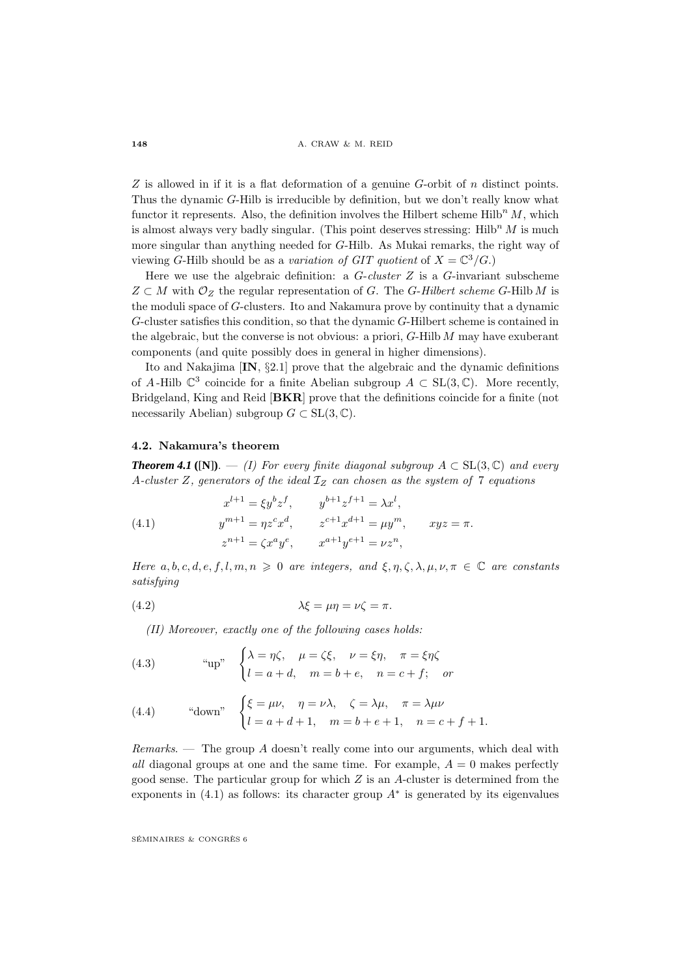$Z$  is allowed in if it is a flat deformation of a genuine  $G$ -orbit of  $n$  distinct points. Thus the dynamic G-Hilb is irreducible by definition, but we don't really know what functor it represents. Also, the definition involves the Hilbert scheme Hilb<sup>n</sup>  $M$ , which is almost always very badly singular. (This point deserves stressing:  $Hilb<sup>n</sup> M$  is much more singular than anything needed for G-Hilb. As Mukai remarks, the right way of viewing G-Hilb should be as a variation of GIT quotient of  $X = \mathbb{C}^3/G$ .

Here we use the algebraic definition: a  $G$ -cluster  $Z$  is a  $G$ -invariant subscheme  $Z \subset M$  with  $\mathcal{O}_Z$  the regular representation of G. The G-Hilbert scheme G-Hilb M is the moduli space of G-clusters. Ito and Nakamura prove by continuity that a dynamic G-cluster satisfies this condition, so that the dynamic G-Hilbert scheme is contained in the algebraic, but the converse is not obvious: a priori, G-Hilb M may have exuberant components (and quite possibly does in general in higher dimensions).

Ito and Nakajima [**IN**, §2.1] prove that the algebraic and the dynamic definitions of A-Hilb  $\mathbb{C}^3$  coincide for a finite Abelian subgroup  $A \subset SL(3,\mathbb{C})$ . More recently, Bridgeland, King and Reid [**BKR**] prove that the definitions coincide for a finite (not necessarily Abelian) subgroup  $G \subset SL(3, \mathbb{C})$ .

### **4.2. Nakamura's theorem**

**Theorem 4.1** ([**N**]). — (I) For every finite diagonal subgroup  $A \subset SL(3,\mathbb{C})$  and every A-cluster Z, generators of the ideal  $\mathcal{I}_Z$  can chosen as the system of 7 equations

(4.1) 
$$
x^{l+1} = \xi y^b z^f, \qquad y^{b+1} z^{f+1} = \lambda x^l,
$$

$$
y^{m+1} = \eta z^c x^d, \qquad z^{c+1} x^{d+1} = \mu y^m, \qquad xyz = \pi.
$$

$$
z^{n+1} = \zeta x^a y^e, \qquad x^{a+1} y^{e+1} = \nu z^n,
$$

Here a, b, c, d, e, f, l, m,  $n \geq 0$  are integers, and  $\xi, \eta, \zeta, \lambda, \mu, \nu, \pi \in \mathbb{C}$  are constants satisfying

(4.2) 
$$
\lambda \xi = \mu \eta = \nu \zeta = \pi.
$$

(II) Moreover, exactly one of the following cases holds:

(4.3) 
$$
\text{``up''} \quad \begin{cases} \lambda = \eta \zeta, & \mu = \zeta \xi, \quad \nu = \xi \eta, \quad \pi = \xi \eta \zeta \\ l = a + d, & m = b + e, \quad n = c + f; \quad or \end{cases}
$$

(4.4) "down" 
$$
\begin{cases} \xi = \mu \nu, & \eta = \nu \lambda, \quad \zeta = \lambda \mu, \quad \pi = \lambda \mu \nu \\ l = a + d + 1, & m = b + e + 1, \quad n = c + f + 1. \end{cases}
$$

Remarks. — The group A doesn't really come into our arguments, which deal with all diagonal groups at one and the same time. For example,  $A = 0$  makes perfectly good sense. The particular group for which  $Z$  is an  $A$ -cluster is determined from the exponents in  $(4.1)$  as follows: its character group  $A^*$  is generated by its eigenvalues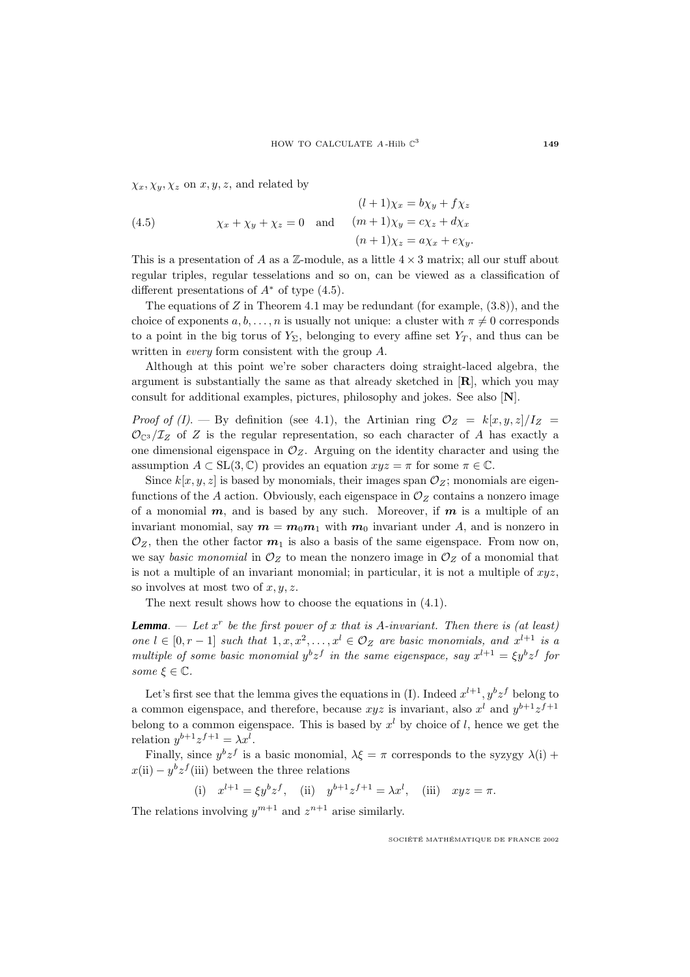$\chi_x, \chi_y, \chi_z$  on  $x, y, z$ , and related by

(4.5) 
$$
(l+1)\chi_x = b\chi_y + f\chi_z
$$

$$
\chi_x + \chi_y + \chi_z = 0 \quad \text{and} \quad (m+1)\chi_y = c\chi_z + d\chi_x
$$

$$
(n+1)\chi_z = a\chi_x + e\chi_y.
$$

This is a presentation of A as a  $\mathbb{Z}$ -module, as a little  $4 \times 3$  matrix; all our stuff about regular triples, regular tesselations and so on, can be viewed as a classification of different presentations of  $A^*$  of type  $(4.5)$ .

The equations of Z in Theorem 4.1 may be redundant (for example,  $(3.8)$ ), and the choice of exponents  $a, b, \ldots, n$  is usually not unique: a cluster with  $\pi \neq 0$  corresponds to a point in the big torus of  $Y_{\Sigma}$ , belonging to every affine set  $Y_T$ , and thus can be written in *every* form consistent with the group  $A$ .

Although at this point we're sober characters doing straight-laced algebra, the argument is substantially the same as that already sketched in [**R**], which you may consult for additional examples, pictures, philosophy and jokes. See also [**N**].

*Proof of (I).* — By definition (see 4.1), the Artinian ring  $\mathcal{O}_Z = k[x, y, z]/I_Z =$  $\mathcal{O}_{\mathbb{C}^3}/\mathcal{I}_Z$  of Z is the regular representation, so each character of A has exactly a one dimensional eigenspace in  $\mathcal{O}_Z$ . Arguing on the identity character and using the assumption  $A \subset SL(3,\mathbb{C})$  provides an equation  $xyz = \pi$  for some  $\pi \in \mathbb{C}$ .

Since  $k[x, y, z]$  is based by monomials, their images span  $\mathcal{O}_Z$ ; monomials are eigenfunctions of the A action. Obviously, each eigenspace in  $\mathcal{O}_Z$  contains a nonzero image of a monomial *m*, and is based by any such. Moreover, if *m* is a multiple of an invariant monomial, say  $m = m_0 m_1$  with  $m_0$  invariant under A, and is nonzero in  $\mathcal{O}_Z$ , then the other factor  $\mathbf{m}_1$  is also a basis of the same eigenspace. From now on, we say basic monomial in  $\mathcal{O}_Z$  to mean the nonzero image in  $\mathcal{O}_Z$  of a monomial that is not a multiple of an invariant monomial; in particular, it is not a multiple of  $xyz$ , so involves at most two of  $x, y, z$ .

The next result shows how to choose the equations in (4.1).

**Lemma**. — Let  $x^r$  be the first power of x that is A-invariant. Then there is (at least) one  $l \in [0, r-1]$  such that  $1, x, x^2, \ldots, x^l \in \mathcal{O}_Z$  are basic monomials, and  $x^{l+1}$  is a multiple of some basic monomial  $y^b z^f$  in the same eigenspace, say  $x^{l+1} = \xi y^b z^f$  for some  $\xi \in \mathbb{C}$ .

Let's first see that the lemma gives the equations in (I). Indeed  $x^{l+1}$ ,  $y^b z^f$  belong to a common eigenspace, and therefore, because  $xyz$  is invariant, also  $x^l$  and  $y^{b+1}z^{f+1}$ belong to a common eigenspace. This is based by  $x<sup>l</sup>$  by choice of l, hence we get the relation  $y^{b+1}z^{f+1} = \lambda x^{l}$ .

Finally, since  $y^b z^f$  is a basic monomial,  $\lambda \xi = \pi$  corresponds to the syzygy  $\lambda(i)$  +  $x(i) - y^b z^f(iii)$  between the three relations

(i)  $x^{l+1} = \xi y^b z^f$ , (ii)  $y^{b+1} z^{f+1} = \lambda x^l$ , (iii)  $xyz = \pi$ .

The relations involving  $y^{m+1}$  and  $z^{n+1}$  arise similarly.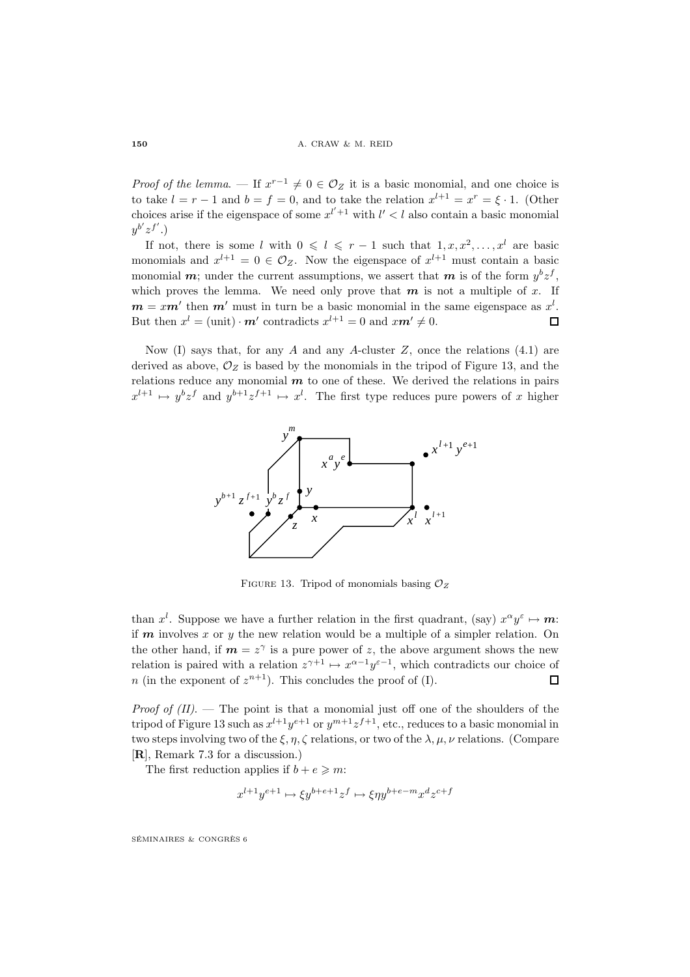*Proof of the lemma.* — If  $x^{r-1} \neq 0 \in \mathcal{O}_Z$  it is a basic monomial, and one choice is to take  $l = r - 1$  and  $b = f = 0$ , and to take the relation  $x^{l+1} = x^r = \xi \cdot 1$ . (Other choices arise if the eigenspace of some  $x^{l'+1}$  with  $l' < l$  also contain a basic monomial  $y^{b'}z^{f'}$ .)

If not, there is some l with  $0 \leq l \leq r - 1$  such that  $1, x, x^2, \ldots, x^l$  are basic monomials and  $x^{l+1} = 0 \in \mathcal{O}_Z$ . Now the eigenspace of  $x^{l+1}$  must contain a basic monomial *m*; under the current assumptions, we assert that *m* is of the form  $y^b z^f$ , which proves the lemma. We need only prove that  $m$  is not a multiple of  $x$ . If  $m = xm'$  then  $m'$  must in turn be a basic monomial in the same eigenspace as  $x<sup>l</sup>$ . But then  $x^{l} = (\text{unit}) \cdot \mathbf{m}'$  contradicts  $x^{l+1} = 0$  and  $x\mathbf{m}' \neq 0$ .  $\Box$ 

Now (I) says that, for any A and any A-cluster  $Z$ , once the relations (4.1) are derived as above,  $\mathcal{O}_Z$  is based by the monomials in the tripod of Figure 13, and the relations reduce any monomial  $m$  to one of these. We derived the relations in pairs  $x^{l+1} \mapsto y^b z^f$  and  $y^{b+1} z^{f+1} \mapsto x^l$ . The first type reduces pure powers of x higher



FIGURE 13. Tripod of monomials basing  $\mathcal{O}_Z$ 

than  $x^l$ . Suppose we have a further relation in the first quadrant, (say)  $x^{\alpha}y^{\varepsilon} \mapsto m$ : if *m* involves x or y the new relation would be a multiple of a simpler relation. On the other hand, if  $m = z^{\gamma}$  is a pure power of z, the above argument shows the new relation is paired with a relation  $z^{\gamma+1} \mapsto x^{\alpha-1}y^{\varepsilon-1}$ , which contradicts our choice of n (in the exponent of  $z^{n+1}$ ). This concludes the proof of (I).  $\Box$ 

Proof of  $(II)$ . – The point is that a monomial just off one of the shoulders of the tripod of Figure 13 such as  $x^{l+1}y^{e+1}$  or  $y^{m+1}z^{f+1}$ , etc., reduces to a basic monomial in two steps involving two of the  $\xi, \eta, \zeta$  relations, or two of the  $\lambda, \mu, \nu$  relations. (Compare [**R**], Remark 7.3 for a discussion.)

The first reduction applies if  $b + e \geq m$ :

$$
x^{l+1}y^{e+1} \mapsto \xi y^{b+e+1}z^f \mapsto \xi \eta y^{b+e-m}x^d z^{c+f}
$$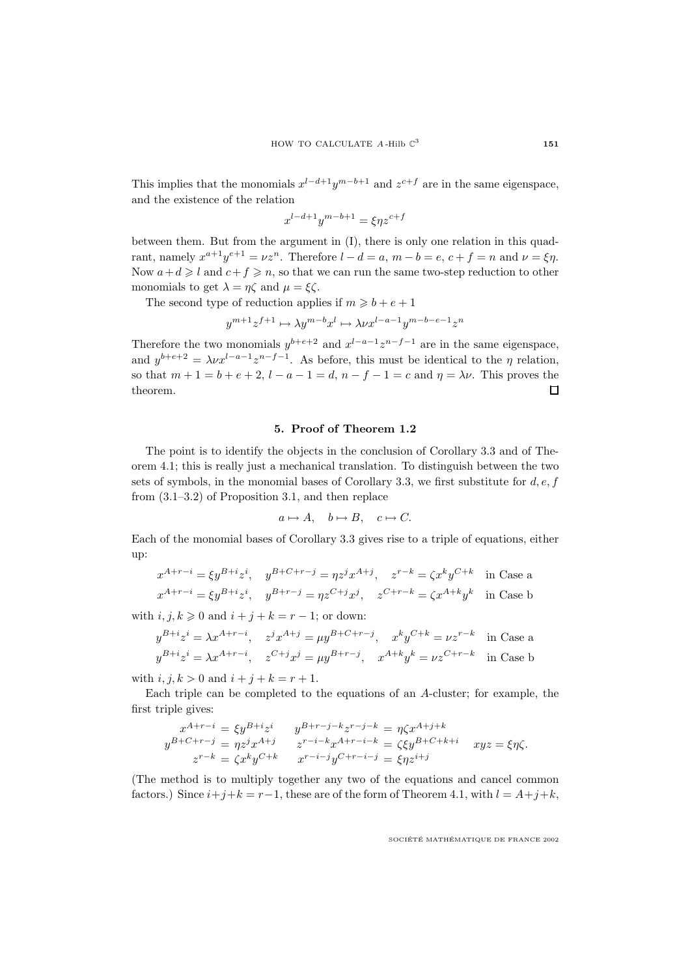This implies that the monomials  $x^{l-d+1}y^{m-b+1}$  and  $z^{c+f}$  are in the same eigenspace, and the existence of the relation

$$
x^{l-d+1}y^{m-b+1} = \xi \eta z^{c+f}
$$

between them. But from the argument in (I), there is only one relation in this quadrant, namely  $x^{a+1}y^{e+1} = \nu z^n$ . Therefore  $l - d = a$ ,  $m - b = e$ ,  $c + f = n$  and  $\nu = \xi \eta$ . Now  $a+d \geq l$  and  $c+f \geq n$ , so that we can run the same two-step reduction to other monomials to get  $\lambda = \eta \zeta$  and  $\mu = \xi \zeta$ .

The second type of reduction applies if  $m \ge b + e + 1$ 

 $y^{m+1}z^{f+1} \mapsto \lambda y^{m-b}x^l \mapsto \lambda \nu x^{l-a-1}y^{m-b-e-1}z^n$ 

Therefore the two monomials  $y^{b+e+2}$  and  $x^{l-a-1}z^{n-f-1}$  are in the same eigenspace, and  $y^{b+e+2} = \lambda \nu x^{l-a-1} z^{n-f-1}$ . As before, this must be identical to the  $\eta$  relation, so that  $m + 1 = b + e + 2$ ,  $l - a - 1 = d$ ,  $n - f - 1 = c$  and  $\eta = \lambda \nu$ . This proves the theorem.  $\Box$ 

### **5. Proof of Theorem 1.2**

The point is to identify the objects in the conclusion of Corollary 3.3 and of Theorem 4.1; this is really just a mechanical translation. To distinguish between the two sets of symbols, in the monomial bases of Corollary 3.3, we first substitute for  $d, e, f$ from (3.1–3.2) of Proposition 3.1, and then replace

$$
a \mapsto A, \quad b \mapsto B, \quad c \mapsto C.
$$

Each of the monomial bases of Corollary 3.3 gives rise to a triple of equations, either up:

$$
x^{A+r-i} = \xi y^{B+i} z^i, \quad y^{B+C+r-j} = \eta z^j x^{A+j}, \quad z^{r-k} = \zeta x^k y^{C+k} \quad \text{in Case a}
$$
  

$$
x^{A+r-i} = \xi y^{B+i} z^i, \quad y^{B+r-j} = \eta z^{C+j} x^j, \quad z^{C+r-k} = \zeta x^{A+k} y^k \quad \text{in Case b}
$$

with  $i, j, k \geq 0$  and  $i + j + k = r - 1$ ; or down:

$$
y^{B+i}z^i = \lambda x^{A+r-i}, \quad z^j x^{A+j} = \mu y^{B+C+r-j}, \quad x^k y^{C+k} = \nu z^{r-k} \quad \text{in Case a}
$$
  

$$
y^{B+i}z^i = \lambda x^{A+r-i}, \quad z^{C+j}x^j = \mu y^{B+r-j}, \quad x^{A+k}y^k = \nu z^{C+r-k} \quad \text{in Case b}
$$

with  $i, j, k > 0$  and  $i + j + k = r + 1$ .

Each triple can be completed to the equations of an A-cluster; for example, the first triple gives:

$$
x^{A+r-i} = \xi y^{B+i} z^i \t y^{B+r-j-k} z^{r-j-k} = \eta \zeta x^{A+j+k}
$$
  
\n
$$
y^{B+C+r-j} = \eta z^j x^{A+j} \t z^{r-i-k} x^{A+r-i-k} = \zeta \zeta y^{B+C+k+i} \t xyz = \xi \eta \zeta.
$$
  
\n
$$
z^{r-k} = \zeta x^k y^{C+k} \t x^{r-i-j} y^{C+r-i-j} = \xi \eta z^{i+j}
$$

(The method is to multiply together any two of the equations and cancel common factors.) Since  $i+j+k = r-1$ , these are of the form of Theorem 4.1, with  $l = A+j+k$ ,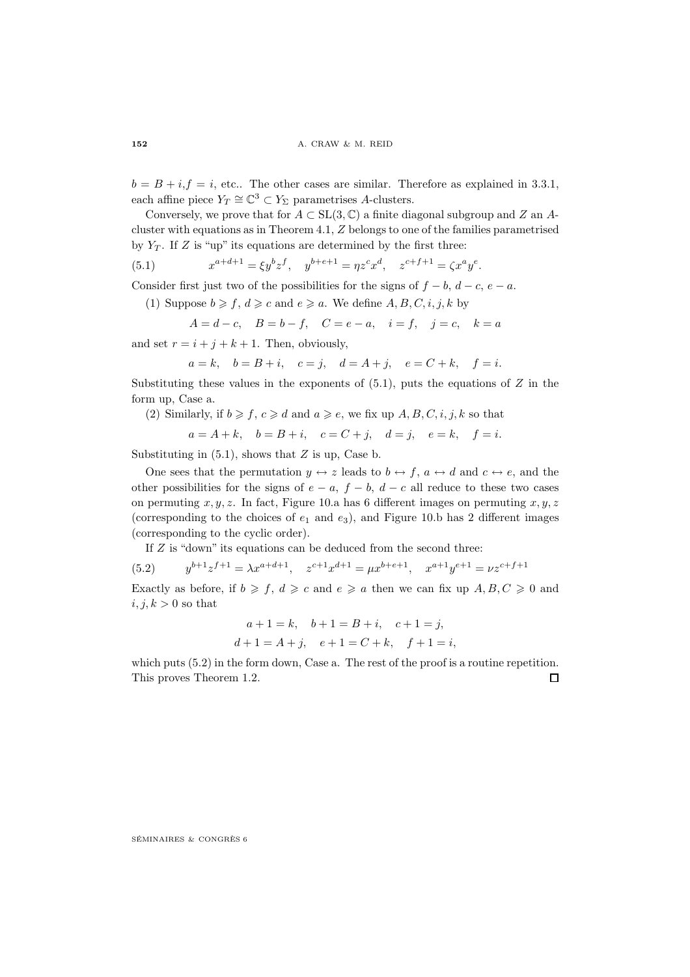$b = B + i$ ,  $f = i$ , etc.. The other cases are similar. Therefore as explained in 3.3.1, each affine piece  $Y_T \cong \mathbb{C}^3 \subset Y_\Sigma$  parametrises A-clusters.

Conversely, we prove that for  $A \subset SL(3,\mathbb{C})$  a finite diagonal subgroup and Z an Acluster withequations as in Theorem 4.1, Z belongs to one of the families parametrised by  $Y_T$ . If Z is "up" its equations are determined by the first three:

(5.1) 
$$
x^{a+d+1} = \xi y^b z^f, \quad y^{b+e+1} = \eta z^c x^d, \quad z^{c+f+1} = \zeta x^a y^e.
$$

Consider first just two of the possibilities for the signs of  $f - b$ ,  $d - c$ ,  $e - a$ .

(1) Suppose  $b \geq f, d \geq c$  and  $e \geq a$ . We define  $A, B, C, i, j, k$  by

$$
A = d - c
$$
,  $B = b - f$ ,  $C = e - a$ ,  $i = f$ ,  $j = c$ ,  $k = a$ 

and set  $r = i + j + k + 1$ . Then, obviously,

$$
a = k, \quad b = B + i, \quad c = j, \quad d = A + j, \quad e = C + k, \quad f = i.
$$

Substituting these values in the exponents of  $(5.1)$ , puts the equations of Z in the form up, Case a.

(2) Similarly, if  $b \geq f, c \geq d$  and  $a \geq e$ , we fix up  $A, B, C, i, j, k$  so that

$$
a = A + k, \quad b = B + i, \quad c = C + j, \quad d = j, \quad e = k, \quad f = i.
$$

Substituting in  $(5.1)$ , shows that  $Z$  is up, Case b.

One sees that the permutation  $y \leftrightarrow z$  leads to  $b \leftrightarrow f$ ,  $a \leftrightarrow d$  and  $c \leftrightarrow e$ , and the other possibilities for the signs of  $e - a$ ,  $f - b$ ,  $d - c$  all reduce to these two cases on permuting  $x, y, z$ . In fact, Figure 10.a has 6 different images on permuting  $x, y, z$ (corresponding to the choices of  $e_1$  and  $e_3$ ), and Figure 10.b has 2 different images (corresponding to the cyclic order).

If Z is "down" its equations can be deduced from the second three:

(5.2) 
$$
y^{b+1}z^{f+1} = \lambda x^{a+d+1}, \quad z^{c+1}x^{d+1} = \mu x^{b+e+1}, \quad x^{a+1}y^{e+1} = \nu z^{c+f+1}
$$

Exactly as before, if  $b \geq f, d \geq c$  and  $e \geq a$  then we can fix up  $A, B, C \geq 0$  and  $i, j, k > 0$  so that

$$
a+1=k
$$
,  $b+1=B+i$ ,  $c+1=j$ ,  
 $d+1=A+j$ ,  $e+1=C+k$ ,  $f+1=i$ ,

which puts  $(5.2)$  in the form down, Case a. The rest of the proof is a routine repetition. This proves Theorem 1.2.  $\Box$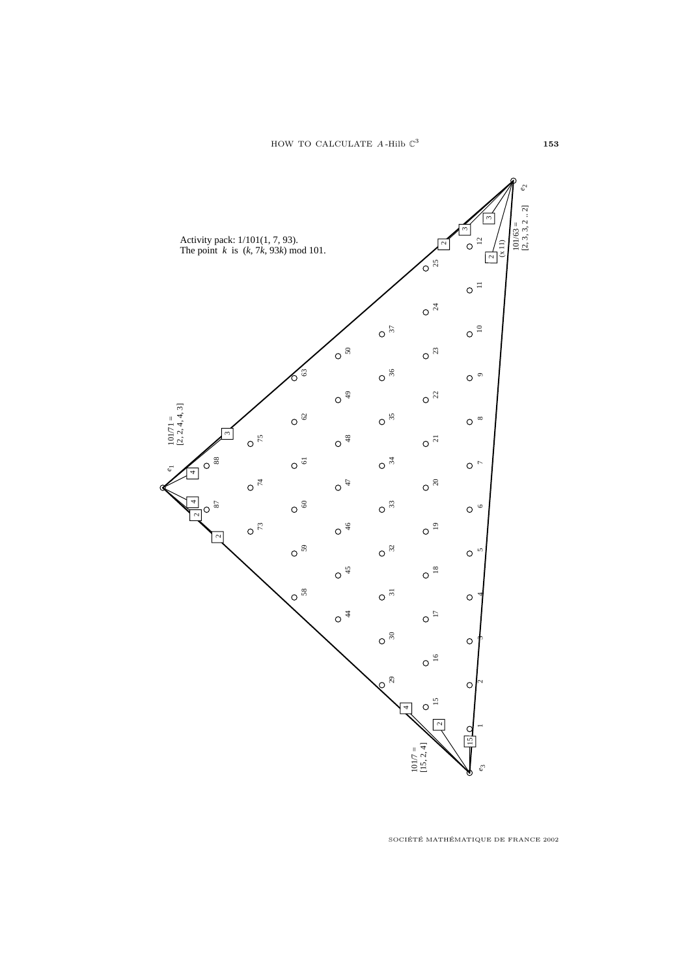